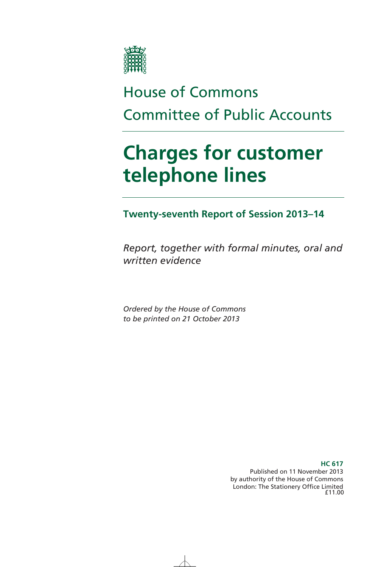

# House of Commons Committee of Public Accounts

# **Charges for customer telephone lines**

**Twenty-seventh Report of Session 2013–14** 

*Report, together with formal minutes, oral and written evidence* 

*Ordered by the House of Commons to be printed on 21 October 2013* 

> **HC 617**  Published on 11 November 2013 by authority of the House of Commons London: The Stationery Office Limited £11.00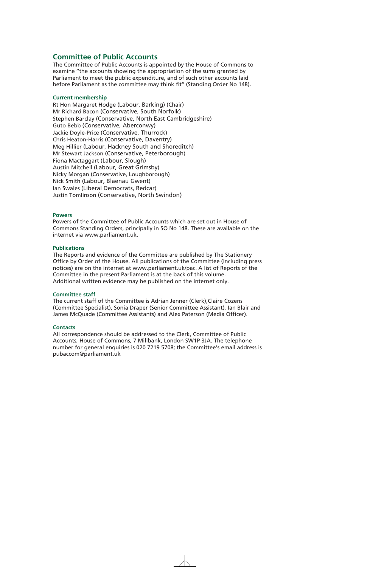# **Committee of Public Accounts**

The Committee of Public Accounts is appointed by the House of Commons to examine ''the accounts showing the appropriation of the sums granted by Parliament to meet the public expenditure, and of such other accounts laid before Parliament as the committee may think fit'' (Standing Order No 148).

# **Current membership**

Rt Hon Margaret Hodge (Labour, Barking) (Chair) Mr Richard Bacon (Conservative, South Norfolk) Stephen Barclay (Conservative, North East Cambridgeshire) Guto Bebb (Conservative, Aberconwy) Jackie Doyle-Price (Conservative, Thurrock) Chris Heaton-Harris (Conservative, Daventry) Meg Hillier (Labour, Hackney South and Shoreditch) Mr Stewart Jackson (Conservative, Peterborough) Fiona Mactaggart (Labour, Slough) Austin Mitchell (Labour, Great Grimsby) Nicky Morgan (Conservative, Loughborough) Nick Smith (Labour, Blaenau Gwent) Ian Swales (Liberal Democrats, Redcar) Justin Tomlinson (Conservative, North Swindon)

## **Powers**

Powers of the Committee of Public Accounts which are set out in House of Commons Standing Orders, principally in SO No 148. These are available on the internet via www.parliament.uk.

## **Publications**

The Reports and evidence of the Committee are published by The Stationery Office by Order of the House. All publications of the Committee (including press notices) are on the internet at www.parliament.uk/pac. A list of Reports of the Committee in the present Parliament is at the back of this volume. Additional written evidence may be published on the internet only.

#### **Committee staff**

The current staff of the Committee is Adrian Jenner (Clerk),Claire Cozens (Committee Specialist), Sonia Draper (Senior Committee Assistant), Ian Blair and James McQuade (Committee Assistants) and Alex Paterson (Media Officer).

#### **Contacts**

All correspondence should be addressed to the Clerk, Committee of Public Accounts, House of Commons, 7 Millbank, London SW1P 3JA. The telephone number for general enquiries is 020 7219 5708; the Committee's email address is pubaccom@parliament.uk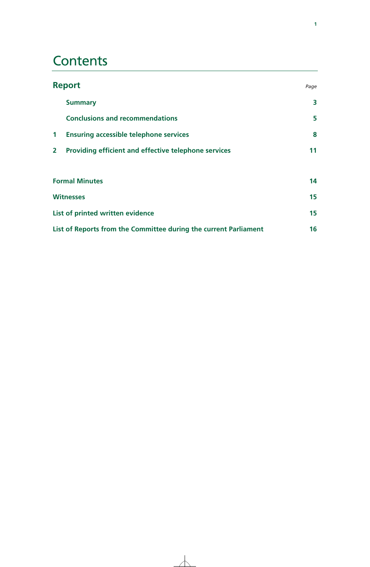# **Contents**

| <b>Report</b>  |                                                                  | Page |
|----------------|------------------------------------------------------------------|------|
|                | <b>Summary</b>                                                   | 3    |
|                | <b>Conclusions and recommendations</b>                           | 5    |
| $\mathbf 1$    | <b>Ensuring accessible telephone services</b>                    | 8    |
| 2 <sup>1</sup> | Providing efficient and effective telephone services             | 11   |
|                |                                                                  |      |
|                | <b>Formal Minutes</b>                                            | 14   |
|                | <b>Witnesses</b>                                                 | 15   |
|                | List of printed written evidence                                 | 15   |
|                | List of Reports from the Committee during the current Parliament | 16   |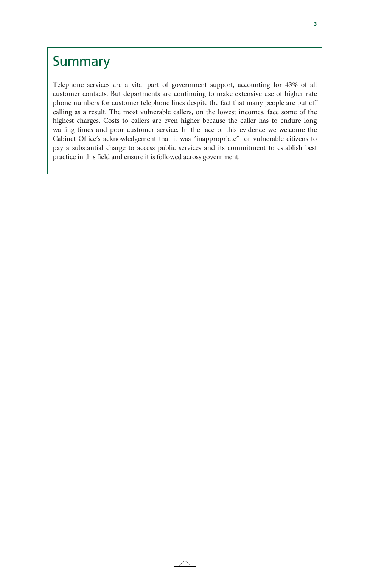# Summary

Telephone services are a vital part of government support, accounting for 43% of all customer contacts. But departments are continuing to make extensive use of higher rate phone numbers for customer telephone lines despite the fact that many people are put off calling as a result. The most vulnerable callers, on the lowest incomes, face some of the highest charges. Costs to callers are even higher because the caller has to endure long waiting times and poor customer service. In the face of this evidence we welcome the Cabinet Office's acknowledgement that it was "inappropriate" for vulnerable citizens to pay a substantial charge to access public services and its commitment to establish best practice in this field and ensure it is followed across government.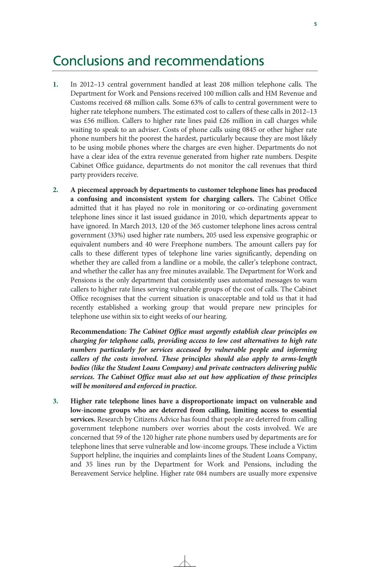# Conclusions and recommendations

- **1.** In 2012–13 central government handled at least 208 million telephone calls. The Department for Work and Pensions received 100 million calls and HM Revenue and Customs received 68 million calls. Some 63% of calls to central government were to higher rate telephone numbers. The estimated cost to callers of these calls in 2012–13 was £56 million. Callers to higher rate lines paid £26 million in call charges while waiting to speak to an adviser. Costs of phone calls using 0845 or other higher rate phone numbers hit the poorest the hardest, particularly because they are most likely to be using mobile phones where the charges are even higher. Departments do not have a clear idea of the extra revenue generated from higher rate numbers. Despite Cabinet Office guidance, departments do not monitor the call revenues that third party providers receive.
- **2. A piecemeal approach by departments to customer telephone lines has produced a confusing and inconsistent system for charging callers.** The Cabinet Office admitted that it has played no role in monitoring or co-ordinating government telephone lines since it last issued guidance in 2010, which departments appear to have ignored. In March 2013, 120 of the 365 customer telephone lines across central government (33%) used higher rate numbers, 205 used less expensive geographic or equivalent numbers and 40 were Freephone numbers. The amount callers pay for calls to these different types of telephone line varies significantly, depending on whether they are called from a landline or a mobile, the caller's telephone contract, and whether the caller has any free minutes available. The Department for Work and Pensions is the only department that consistently uses automated messages to warn callers to higher rate lines serving vulnerable groups of the cost of calls. The Cabinet Office recognises that the current situation is unacceptable and told us that it had recently established a working group that would prepare new principles for telephone use within six to eight weeks of our hearing.

**Recommendation:** *The Cabinet Office must urgently establish clear principles on charging for telephone calls, providing access to low cost alternatives to high rate numbers particularly for services accessed by vulnerable people and informing callers of the costs involved. These principles should also apply to arms-length bodies (like the Student Loans Company) and private contractors delivering public services. The Cabinet Office must also set out how application of these principles will be monitored and enforced in practice.* 

**3. Higher rate telephone lines have a disproportionate impact on vulnerable and low-income groups who are deterred from calling, limiting access to essential services.** Research by Citizens Advice has found that people are deterred from calling government telephone numbers over worries about the costs involved. We are concerned that 59 of the 120 higher rate phone numbers used by departments are for telephone lines that serve vulnerable and low-income groups. These include a Victim Support helpline, the inquiries and complaints lines of the Student Loans Company, and 35 lines run by the Department for Work and Pensions, including the Bereavement Service helpline. Higher rate 084 numbers are usually more expensive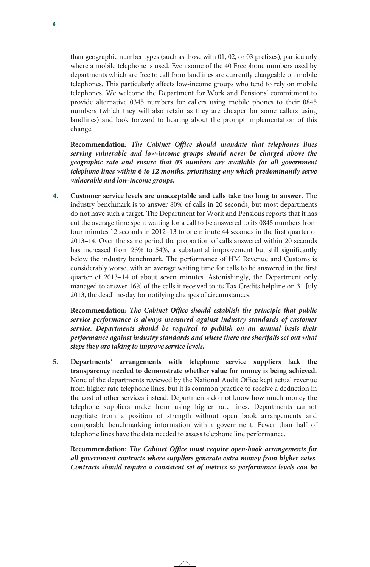than geographic number types (such as those with 01, 02, or 03 prefixes), particularly where a mobile telephone is used. Even some of the 40 Freephone numbers used by departments which are free to call from landlines are currently chargeable on mobile telephones. This particularly affects low-income groups who tend to rely on mobile telephones. We welcome the Department for Work and Pensions' commitment to provide alternative 0345 numbers for callers using mobile phones to their 0845 numbers (which they will also retain as they are cheaper for some callers using landlines) and look forward to hearing about the prompt implementation of this change.

**Recommendation***: The Cabinet Office should mandate that telephones lines serving vulnerable and low-income groups should never be charged above the geographic rate and ensure that 03 numbers are available for all government telephone lines within 6 to 12 months, prioritising any which predominantly serve vulnerable and low-income groups.* 

**4. Customer service levels are unacceptable and calls take too long to answer.** The industry benchmark is to answer 80% of calls in 20 seconds, but most departments do not have such a target. The Department for Work and Pensions reports that it has cut the average time spent waiting for a call to be answered to its 0845 numbers from four minutes 12 seconds in 2012–13 to one minute 44 seconds in the first quarter of 2013–14. Over the same period the proportion of calls answered within 20 seconds has increased from 23% to 54%, a substantial improvement but still significantly below the industry benchmark. The performance of HM Revenue and Customs is considerably worse, with an average waiting time for calls to be answered in the first quarter of 2013–14 of about seven minutes. Astonishingly, the Department only managed to answer 16% of the calls it received to its Tax Credits helpline on 31 July 2013, the deadline-day for notifying changes of circumstances.

**Recommendation:** *The Cabinet Office should establish the principle that public service performance is always measured against industry standards of customer service. Departments should be required to publish on an annual basis their performance against industry standards and where there are shortfalls set out what steps they are taking to improve service levels.*

**5. Departments' arrangements with telephone service suppliers lack the transparency needed to demonstrate whether value for money is being achieved.** None of the departments reviewed by the National Audit Office kept actual revenue from higher rate telephone lines, but it is common practice to receive a deduction in the cost of other services instead. Departments do not know how much money the telephone suppliers make from using higher rate lines. Departments cannot negotiate from a position of strength without open book arrangements and comparable benchmarking information within government. Fewer than half of telephone lines have the data needed to assess telephone line performance.

**Recommendation:** *The Cabinet Office must require open-book arrangements for all government contracts where suppliers generate extra money from higher rates. Contracts should require a consistent set of metrics so performance levels can be*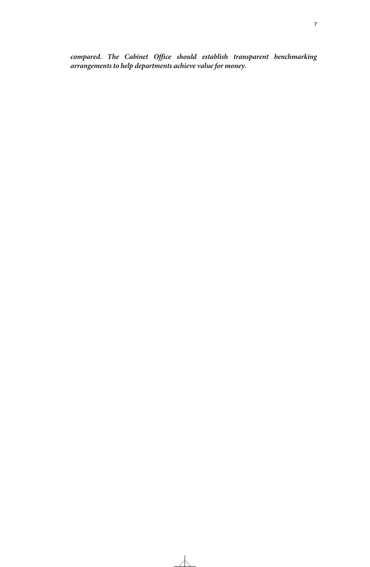*compared. The Cabinet Office should establish transparent benchmarking arrangements to help departments achieve value for money.*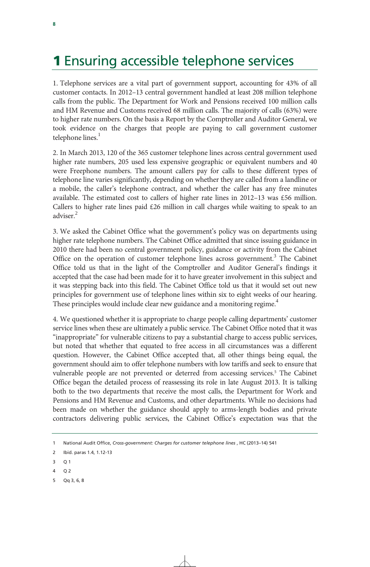# **1** Ensuring accessible telephone services

1. Telephone services are a vital part of government support, accounting for 43% of all customer contacts. In 2012–13 central government handled at least 208 million telephone calls from the public. The Department for Work and Pensions received 100 million calls and HM Revenue and Customs received 68 million calls. The majority of calls (63%) were to higher rate numbers. On the basis a Report by the Comptroller and Auditor General, we took evidence on the charges that people are paying to call government customer telephone lines.<sup>1</sup>

2. In March 2013, 120 of the 365 customer telephone lines across central government used higher rate numbers, 205 used less expensive geographic or equivalent numbers and 40 were Freephone numbers. The amount callers pay for calls to these different types of telephone line varies significantly, depending on whether they are called from a landline or a mobile, the caller's telephone contract, and whether the caller has any free minutes available. The estimated cost to callers of higher rate lines in  $2012-13$  was £56 million. Callers to higher rate lines paid  $£26$  million in call charges while waiting to speak to an adviser.<sup>2</sup>

3. We asked the Cabinet Office what the government's policy was on departments using higher rate telephone numbers. The Cabinet Office admitted that since issuing guidance in 2010 there had been no central government policy, guidance or activity from the Cabinet Office on the operation of customer telephone lines across government.<sup>3</sup> The Cabinet Office told us that in the light of the Comptroller and Auditor General's findings it accepted that the case had been made for it to have greater involvement in this subject and it was stepping back into this field. The Cabinet Office told us that it would set out new principles for government use of telephone lines within six to eight weeks of our hearing. These principles would include clear new guidance and a monitoring regime. $^4$ 

4. We questioned whether it is appropriate to charge people calling departments' customer service lines when these are ultimately a public service. The Cabinet Office noted that it was "inappropriate" for vulnerable citizens to pay a substantial charge to access public services, but noted that whether that equated to free access in all circumstances was a different question. However, the Cabinet Office accepted that, all other things being equal, the government should aim to offer telephone numbers with low tariffs and seek to ensure that vulnerable people are not prevented or deterred from accessing services.<sup>5</sup> The Cabinet Office began the detailed process of reassessing its role in late August 2013. It is talking both to the two departments that receive the most calls, the Department for Work and Pensions and HM Revenue and Customs, and other departments. While no decisions had been made on whether the guidance should apply to arms-length bodies and private contractors delivering public services, the Cabinet Office's expectation was that the

- 3 Q 1
- 4 Q 2
- 5 Qq 3, 6, 8

<sup>1</sup> National Audit Office, *Cross-government: Charges for customer telephone lines* , HC (2013–14) 541

<sup>2</sup> Ibid. paras 1.4, 1.12-13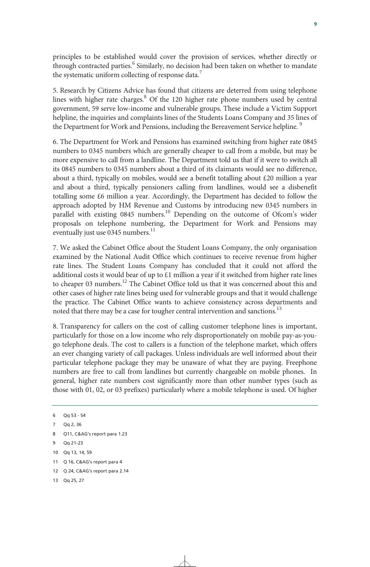principles to be established would cover the provision of services, whether directly or through contracted parties.<sup>6</sup> Similarly, no decision had been taken on whether to mandate the systematic uniform collecting of response data.<sup>7</sup>

5. Research by Citizens Advice has found that citizens are deterred from using telephone lines with higher rate charges.<sup>8</sup> Of the 120 higher rate phone numbers used by central government, 59 serve low-income and vulnerable groups. These include a Victim Support helpline, the inquiries and complaints lines of the Students Loans Company and 35 lines of the Department for Work and Pensions, including the Bereavement Service helpline.<sup>9</sup>

6. The Department for Work and Pensions has examined switching from higher rate 0845 numbers to 0345 numbers which are generally cheaper to call from a mobile, but may be more expensive to call from a landline. The Department told us that if it were to switch all its 0845 numbers to 0345 numbers about a third of its claimants would see no difference, about a third, typically on mobiles, would see a benefit totalling about £20 million a year and about a third, typically pensioners calling from landlines, would see a disbenefit totalling some £6 million a year. Accordingly, the Department has decided to follow the approach adopted by HM Revenue and Customs by introducing new 0345 numbers in parallel with existing  $0845$  numbers.<sup>10</sup> Depending on the outcome of Ofcom's wider proposals on telephone numbering, the Department for Work and Pensions may eventually just use 0345 numbers.<sup>11</sup>

7. We asked the Cabinet Office about the Student Loans Company, the only organisation examined by the National Audit Office which continues to receive revenue from higher rate lines. The Student Loans Company has concluded that it could not afford the additional costs it would bear of up to  $\epsilon$ 1 million a year if it switched from higher rate lines to cheaper 03 numbers.<sup>12</sup> The Cabinet Office told us that it was concerned about this and other cases of higher rate lines being used for vulnerable groups and that it would challenge the practice. The Cabinet Office wants to achieve consistency across departments and noted that there may be a case for tougher central intervention and sanctions.<sup>13</sup>

8. Transparency for callers on the cost of calling customer telephone lines is important, particularly for those on a low income who rely disproportionately on mobile pay-as-yougo telephone deals. The cost to callers is a function of the telephone market, which offers an ever changing variety of call packages. Unless individuals are well informed about their particular telephone package they may be unaware of what they are paying. Freephone numbers are free to call from landlines but currently chargeable on mobile phones. In general, higher rate numbers cost significantly more than other number types (such as those with 01, 02, or 03 prefixes) particularly where a mobile telephone is used. Of higher

<sup>6</sup> Qq 53 - 54

<sup>7</sup> Qq 2, 36

<sup>8</sup> O11, C&AG's report para 1.23

<sup>9</sup> Qq 21-23

<sup>10</sup> Qq 13, 14, 59

<sup>11</sup> Q 16, C&AG's report para 4

<sup>12</sup> Q 24, C&AG's report para 2.14

<sup>13</sup> Qq 25, 27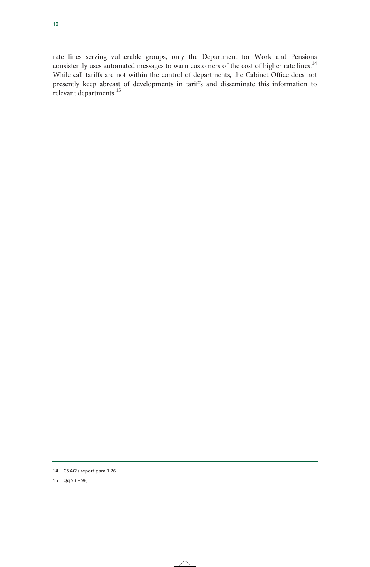rate lines serving vulnerable groups, only the Department for Work and Pensions consistently uses automated messages to warn customers of the cost of higher rate lines.<sup>14</sup> While call tariffs are not within the control of departments, the Cabinet Office does not presently keep abreast of developments in tariffs and disseminate this information to relevant departments.<sup>15</sup>

<sup>14</sup> C&AG's report para 1.26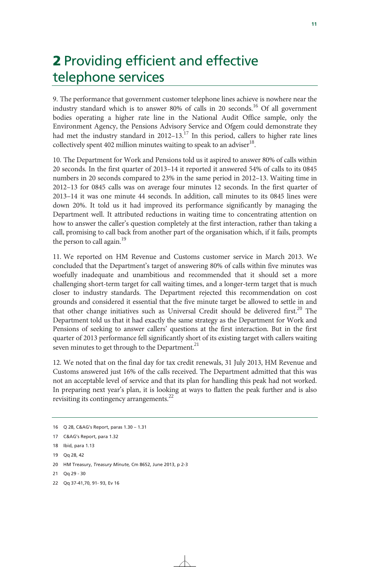# 2 Providing efficient and effective telephone services

9. The performance that government customer telephone lines achieve is nowhere near the industry standard which is to answer 80% of calls in 20 seconds.<sup>16</sup> Of all government bodies operating a higher rate line in the National Audit Office sample, only the Environment Agency, the Pensions Advisory Service and Ofgem could demonstrate they had met the industry standard in 2012–13.<sup>17</sup> In this period, callers to higher rate lines collectively spent 402 million minutes waiting to speak to an adviser<sup>18</sup>.

10. The Department for Work and Pensions told us it aspired to answer 80% of calls within 20 seconds. In the first quarter of 2013–14 it reported it answered 54% of calls to its 0845 numbers in 20 seconds compared to 23% in the same period in 2012–13. Waiting time in 2012–13 for 0845 calls was on average four minutes 12 seconds. In the first quarter of 2013–14 it was one minute 44 seconds. In addition, call minutes to its 0845 lines were down 20%. It told us it had improved its performance significantly by managing the Department well. It attributed reductions in waiting time to concentrating attention on how to answer the caller's question completely at the first interaction, rather than taking a call, promising to call back from another part of the organisation which, if it fails, prompts the person to call again.<sup>19</sup>

11. We reported on HM Revenue and Customs customer service in March 2013. We concluded that the Department's target of answering 80% of calls within five minutes was woefully inadequate and unambitious and recommended that it should set a more challenging short-term target for call waiting times, and a longer-term target that is much closer to industry standards. The Department rejected this recommendation on cost grounds and considered it essential that the five minute target be allowed to settle in and that other change initiatives such as Universal Credit should be delivered first.<sup>20</sup> The Department told us that it had exactly the same strategy as the Department for Work and Pensions of seeking to answer callers' questions at the first interaction. But in the first quarter of 2013 performance fell significantly short of its existing target with callers waiting seven minutes to get through to the Department.<sup>21</sup>

12. We noted that on the final day for tax credit renewals, 31 July 2013, HM Revenue and Customs answered just 16% of the calls received. The Department admitted that this was not an acceptable level of service and that its plan for handling this peak had not worked. In preparing next year's plan, it is looking at ways to flatten the peak further and is also revisiting its contingency arrangements.<sup>22</sup>

- 18 Ibid, para 1.13
- 19 Qq 28, 42

21 Qq 29 - 30

<sup>16</sup> Q 28, C&AG's Report, paras 1.30 – 1.31

<sup>17</sup> C&AG's Report, para 1.32

<sup>20</sup> HM Treasury, *Treasury Minute,* Cm 8652, June 2013, p 2-3

<sup>22</sup> Qq 37-41,70, 91- 93, Ev 16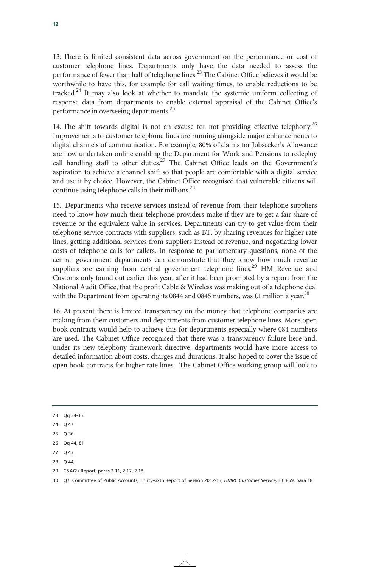13. There is limited consistent data across government on the performance or cost of customer telephone lines. Departments only have the data needed to assess the performance of fewer than half of telephone lines.<sup>23</sup> The Cabinet Office believes it would be worthwhile to have this, for example for call waiting times, to enable reductions to be tracked. $24$  It may also look at whether to mandate the systemic uniform collecting of response data from departments to enable external appraisal of the Cabinet Office's performance in overseeing departments.<sup>25</sup>

14. The shift towards digital is not an excuse for not providing effective telephony.<sup>26</sup> Improvements to customer telephone lines are running alongside major enhancements to digital channels of communication. For example, 80% of claims for Jobseeker's Allowance are now undertaken online enabling the Department for Work and Pensions to redeploy call handling staff to other duties.<sup>27</sup> The Cabinet Office leads on the Government's aspiration to achieve a channel shift so that people are comfortable with a digital service and use it by choice. However, the Cabinet Office recognised that vulnerable citizens will continue using telephone calls in their millions. $^{28}$ 

15. Departments who receive services instead of revenue from their telephone suppliers need to know how much their telephone providers make if they are to get a fair share of revenue or the equivalent value in services. Departments can try to get value from their telephone service contracts with suppliers, such as BT, by sharing revenues for higher rate lines, getting additional services from suppliers instead of revenue, and negotiating lower costs of telephone calls for callers. In response to parliamentary questions, none of the central government departments can demonstrate that they know how much revenue suppliers are earning from central government telephone lines.<sup>29</sup> HM Revenue and Customs only found out earlier this year, after it had been prompted by a report from the National Audit Office, that the profit Cable & Wireless was making out of a telephone deal with the Department from operating its 0844 and 0845 numbers, was £1 million a year.<sup>30</sup>

16. At present there is limited transparency on the money that telephone companies are making from their customers and departments from customer telephone lines. More open book contracts would help to achieve this for departments especially where 084 numbers are used. The Cabinet Office recognised that there was a transparency failure here and, under its new telephony framework directive, departments would have more access to detailed information about costs, charges and durations. It also hoped to cover the issue of open book contracts for higher rate lines. The Cabinet Office working group will look to

- 24 Q 47
- 25 Q 36
- 26 Qq 44, 81
- 27 Q 43
- 28 Q 44,
- 29 C&AG's Report, paras 2.11, 2.17, 2.18

<sup>23</sup> Qq 34-35

<sup>30</sup> Q7, Committee of Public Accounts, Thirty-sixth Report of Session 2012-13, *HMRC Customer Service,* HC 869, para 18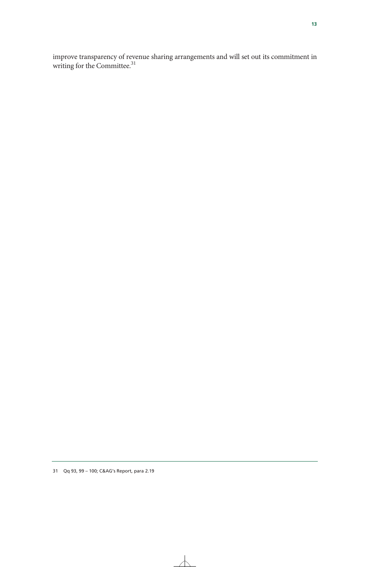improve transparency of revenue sharing arrangements and will set out its commitment in writing for the Committee.<sup>31</sup>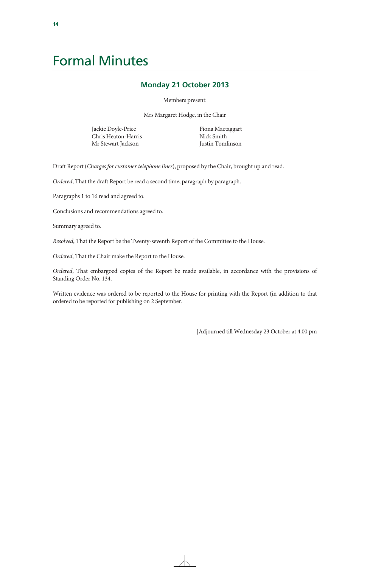# Formal Minutes

# **Monday 21 October 2013**

Members present:

Mrs Margaret Hodge, in the Chair

Jackie Doyle-Price Chris Heaton-Harris Mr Stewart Jackson

Fiona Mactaggart Nick Smith Justin Tomlinson

Draft Report (*Charges for customer telephone lines*), proposed by the Chair, brought up and read.

*Ordered*, That the draft Report be read a second time, paragraph by paragraph.

Paragraphs 1 to 16 read and agreed to.

Conclusions and recommendations agreed to.

Summary agreed to.

*Resolved*, That the Report be the Twenty-seventh Report of the Committee to the House.

*Ordered*, That the Chair make the Report to the House.

*Ordered*, That embargoed copies of the Report be made available, in accordance with the provisions of Standing Order No. 134.

Written evidence was ordered to be reported to the House for printing with the Report (in addition to that ordered to be reported for publishing on 2 September.

[Adjourned till Wednesday 23 October at 4.00 pm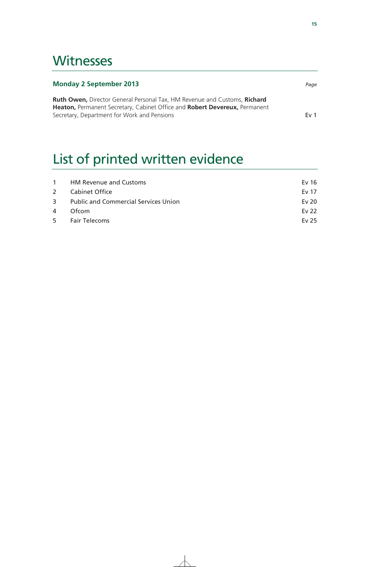# **Witnesses**

| <b>Monday 2 September 2013</b>                                                                                                                                        | Page            |
|-----------------------------------------------------------------------------------------------------------------------------------------------------------------------|-----------------|
| <b>Ruth Owen, Director General Personal Tax, HM Revenue and Customs, Richard</b><br><b>Heaton, Permanent Secretary, Cabinet Office and Robert Devereux, Permanent</b> |                 |
| Secretary, Department for Work and Pensions                                                                                                                           | Fv <sub>1</sub> |

# List of printed written evidence

|   | 1 HM Revenue and Customs               | Ev $16$ |
|---|----------------------------------------|---------|
|   | 2 Cabinet Office                       | Ev 17   |
|   | 3 Public and Commercial Services Union | Ev 20   |
| 4 | Ofcom                                  | Ev 22   |
|   | 5 Fair Telecoms                        | Ev 25   |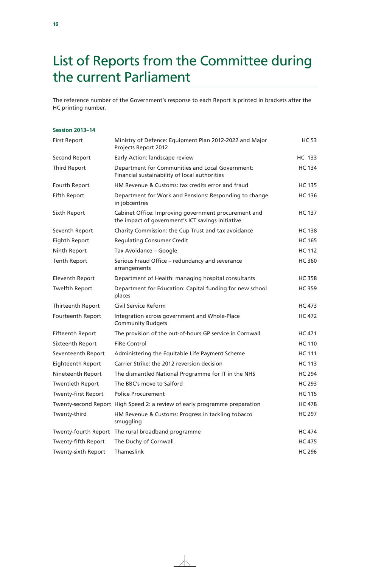# List of Reports from the Committee during the current Parliament

The reference number of the Government's response to each Report is printed in brackets after the HC printing number.

# **Session 2013–14**

| <b>First Report</b>     | Ministry of Defence: Equipment Plan 2012-2022 and Major<br>Projects Report 2012                           | <b>HC 53</b>  |
|-------------------------|-----------------------------------------------------------------------------------------------------------|---------------|
| Second Report           | Early Action: landscape review                                                                            | HC 133        |
| Third Report            | Department for Communities and Local Government:<br>Financial sustainability of local authorities         | <b>HC 134</b> |
| Fourth Report           | HM Revenue & Customs: tax credits error and fraud                                                         | <b>HC 135</b> |
| Fifth Report            | Department for Work and Pensions: Responding to change<br>in jobcentres                                   | <b>HC 136</b> |
| Sixth Report            | Cabinet Office: Improving government procurement and<br>the impact of government's ICT savings initiative | <b>HC 137</b> |
| Seventh Report          | Charity Commission: the Cup Trust and tax avoidance                                                       | <b>HC 138</b> |
| Eighth Report           | <b>Regulating Consumer Credit</b>                                                                         | <b>HC 165</b> |
| Ninth Report            | Tax Avoidance - Google                                                                                    | <b>HC 112</b> |
| Tenth Report            | Serious Fraud Office - redundancy and severance<br>arrangements                                           | <b>HC 360</b> |
| <b>Eleventh Report</b>  | Department of Health: managing hospital consultants                                                       | <b>HC 358</b> |
| Twelfth Report          | Department for Education: Capital funding for new school<br>places                                        | <b>HC 359</b> |
| Thirteenth Report       | Civil Service Reform                                                                                      | <b>HC 473</b> |
| Fourteenth Report       | Integration across government and Whole-Place<br><b>Community Budgets</b>                                 | <b>HC 472</b> |
| <b>Fifteenth Report</b> | The provision of the out-of-hours GP service in Cornwall                                                  | <b>HC</b> 471 |
| Sixteenth Report        | <b>FiRe Control</b>                                                                                       | <b>HC 110</b> |
| Seventeenth Report      | Administering the Equitable Life Payment Scheme                                                           | <b>HC 111</b> |
| Eighteenth Report       | Carrier Strike: the 2012 reversion decision                                                               | <b>HC 113</b> |
| Nineteenth Report       | The dismantled National Programme for IT in the NHS                                                       | <b>HC 294</b> |
| <b>Twentieth Report</b> | The BBC's move to Salford                                                                                 | <b>HC 293</b> |
| Twenty-first Report     | <b>Police Procurement</b>                                                                                 | <b>HC 115</b> |
|                         | Twenty-second Report High Speed 2: a review of early programme preparation                                | <b>HC 478</b> |
| Twenty-third            | HM Revenue & Customs: Progress in tackling tobacco<br>smuggling                                           | <b>HC 297</b> |
|                         | Twenty-fourth Report The rural broadband programme                                                        | <b>HC 474</b> |
| Twenty-fifth Report     | The Duchy of Cornwall                                                                                     | <b>HC 475</b> |
| Twenty-sixth Report     | Thameslink                                                                                                | <b>HC 296</b> |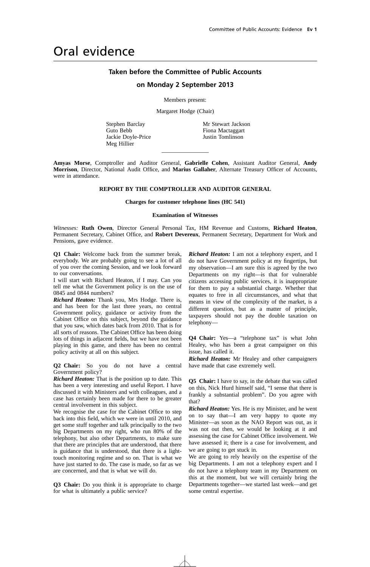# Oral evidence

# **Taken before the Committee of Public Accounts**

# **on Monday 2 September 2013**

Members present:

Margaret Hodge (Chair)

Stephen Barclay Guto Bebb Jackie Doyle-Price Meg Hillier

Mr Stewart Jackson Fiona Mactaggart Justin Tomlinson

**Amyas Morse**, Comptroller and Auditor General, **Gabrielle Cohen**, Assistant Auditor General, **Andy Morrison**, Director, National Audit Office, and **Marius Gallaher**, Alternate Treasury Officer of Accounts, were in attendance.

 $\overline{\phantom{a}}$  , where  $\overline{\phantom{a}}$ 

# **REPORT BY THE COMPTROLLER AND AUDITOR GENERAL**

#### **Charges for customer telephone lines (HC 541)**

## **Examination of Witnesses**

*Witnesses:* **Ruth Owen**, Director General Personal Tax, HM Revenue and Customs, **Richard Heaton**, Permanent Secretary, Cabinet Office, and **Robert Devereux**, Permanent Secretary, Department for Work and Pensions, gave evidence.

**Q1 Chair:** Welcome back from the summer break, everybody. We are probably going to see a lot of all of you over the coming Session, and we look forward to our conversations.

I will start with Richard Heaton, if I may. Can you tell me what the Government policy is on the use of 0845 and 0844 numbers?

*Richard Heaton:* Thank you, Mrs Hodge. There is, and has been for the last three years, no central Government policy, guidance or activity from the Cabinet Office on this subject, beyond the guidance that you saw, which dates back from 2010. That is for all sorts of reasons. The Cabinet Office has been doing lots of things in adjacent fields, but we have not been playing in this game, and there has been no central policy activity at all on this subject.

**Q2 Chair:** So you do not have a central Government policy?

*Richard Heaton:* That is the position up to date. This has been a very interesting and useful Report. I have discussed it with Ministers and with colleagues, and a case has certainly been made for there to be greater central involvement in this subject.

We recognise the case for the Cabinet Office to step back into this field, which we were in until 2010, and get some stuff together and talk principally to the two big Departments on my right, who run 80% of the telephony, but also other Departments, to make sure that there are principles that are understood, that there is guidance that is understood, that there is a lighttouch monitoring regime and so on. That is what we have just started to do. The case is made, so far as we are concerned, and that is what we will do.

**Q3 Chair:** Do you think it is appropriate to charge for what is ultimately a public service?

*Richard Heaton:* I am not a telephony expert, and I do not have Government policy at my fingertips, but my observation—I am sure this is agreed by the two Departments on my right—is that for vulnerable citizens accessing public services, it is inappropriate for them to pay a substantial charge. Whether that equates to free in all circumstances, and what that means in view of the complexity of the market, is a different question, but as a matter of principle, taxpayers should not pay the double taxation on telephony—

**Q4 Chair:** Yes—a "telephone tax" is what John Healey, who has been a great campaigner on this issue, has called it.

*Richard Heaton:* Mr Healey and other campaigners have made that case extremely well.

**Q5 Chair:** I have to say, in the debate that was called on this, Nick Hurd himself said, "I sense that there is frankly a substantial problem". Do you agree with that?

*Richard Heaton:* Yes. He is my Minister, and he went on to say that—I am very happy to quote my Minister—as soon as the NAO Report was out, as it was not out then, we would be looking at it and assessing the case for Cabinet Office involvement. We have assessed it; there is a case for involvement, and we are going to get stuck in.

We are going to rely heavily on the expertise of the big Departments. I am not a telephony expert and I do not have a telephony team in my Department on this at the moment, but we will certainly bring the Departments together—we started last week—and get some central expertise.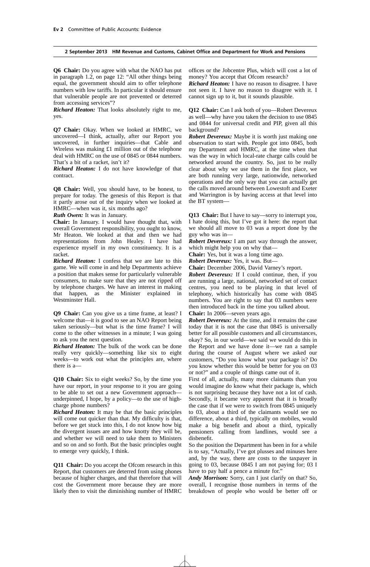**Q6 Chair:** Do you agree with what the NAO has put in paragraph 1.2, on page 12: "All other things being equal, the government should aim to offer telephone numbers with low tariffs. In particular it should ensure that vulnerable people are not prevented or deterred from accessing services"?

*Richard Heaton:* That looks absolutely right to me, yes.

**Q7 Chair:** Okay. When we looked at HMRC, we uncovered—I think, actually, after our Report you uncovered, in further inquiries—that Cable and Wireless was making £1 million out of the telephone deal with HMRC on the use of 0845 or 0844 numbers. That's a bit of a racket, isn't it?

*Richard Heaton:* I do not have knowledge of that contract.

**Q8 Chair:** Well, you should have, to be honest, to prepare for today. The genesis of this Report is that it partly arose out of the inquiry when we looked at HMRC—when was it, six months ago?

*Ruth Owen:* It was in January.

**Chair:** In January. I would have thought that, with overall Government responsibility, you ought to know, Mr Heaton. We looked at that and then we had representations from John Healey. I have had experience myself in my own constituency. It is a racket.

*Richard Heaton:* I confess that we are late to this game. We will come in and help Departments achieve a position that makes sense for particularly vulnerable consumers, to make sure that they are not ripped off by telephone charges. We have an interest in making that happen, as the Minister explained in Westminster Hall.

**Q9 Chair:** Can you give us a time frame, at least? I welcome that—it is good to see an NAO Report being taken seriously—but what is the time frame? I will come to the other witnesses in a minute; I was going to ask you the next question.

*Richard Heaton:* The bulk of the work can be done really very quickly—something like six to eight weeks—to work out what the principles are, where there is a—

**Q10 Chair:** Six to eight weeks? So, by the time you have our report, in your response to it you are going to be able to set out a new Government approach underpinned, I hope, by a policy—to the use of highcharge phone numbers?

*Richard Heaton:* It may be that the basic principles will come out quicker than that. My difficulty is that, before we get stuck into this, I do not know how big the divergent issues are and how knotty they will be, and whether we will need to take them to Ministers and so on and so forth. But the basic principles ought to emerge very quickly, I think.

**Q11 Chair:** Do you accept the Ofcom research in this Report, that customers are deterred from using phones because of higher charges, and that therefore that will cost the Government more because they are more likely then to visit the diminishing number of HMRC offices or the Jobcentre Plus, which will cost a lot of money? You accept that Ofcom research?

*Richard Heaton:* I have no reason to disagree. I have not seen it. I have no reason to disagree with it. I cannot sign up to it, but it sounds plausible.

**Q12 Chair:** Can I ask both of you—Robert Devereux as well—why have you taken the decision to use 0845 and 0844 for universal credit and PIP, given all this background?

*Robert Devereux:* Maybe it is worth just making one observation to start with. People got into 0845, both my Department and HMRC, at the time when that was the way in which local-rate charge calls could be networked around the country. So, just to be really clear about why we use them in the first place, we are both running very large, nationwide, networked operations and the only way that you can actually get the calls moved around between Lowestoft and Exeter and Warrington is by having access at that level into the BT system—

**Q13 Chair:** But I have to say—sorry to interrupt you, I hate doing this, but I've got it here: the report that we should all move to 03 was a report done by the guy who was in—

*Robert Devereux:* I am part way through the answer, which might help you on why that—

**Chair:** Yes, but it was a long time ago.

*Robert Devereux:* Yes, it was. But—

**Chair:** December 2006, David Varney's report.

*Robert Devereux:* If I could continue, then, if you are running a large, national, networked set of contact centres, you need to be playing in that level of telephony, which historically has come with 0845 numbers. You are right to say that 03 numbers were then introduced back in the time you talked about.

**Chair:** In 2006—seven years ago.

*Robert Devereux:* At the time, and it remains the case today that it is not the case that 0845 is universally better for all possible customers and all circumstances, okay? So, in our world—we said we would do this in the Report and we have done it—we ran a sample during the course of August where we asked our customers, "Do you know what your package is? Do you know whether this would be better for you on 03 or not?" and a couple of things came out of it.

First of all, actually, many more claimants than you would imagine do know what their package is, which is not surprising because they have not a lot of cash. Secondly, it became very apparent that it is broadly the case that if we were to switch from 0845 uniquely to 03, about a third of the claimants would see no difference, about a third, typically on mobiles, would make a big benefit and about a third, typically pensioners calling from landlines, would see a disbenefit.

So the position the Department has been in for a while is to say, "Actually, I've got plusses and minuses here and, by the way, there are costs to the taxpayer in going to 03, because 0845 I am not paying for; 03 I have to pay half a pence a minute for."

*Andy Morrison:* Sorry, can I just clarify on that? So, overall, I recognise those numbers in terms of the breakdown of people who would be better off or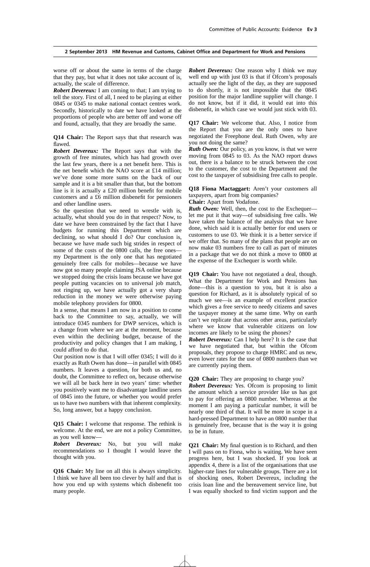worse off or about the same in terms of the charge that they pay, but what it does not take account of is, actually, the scale of difference.

*Robert Devereux:* I am coming to that; I am trying to tell the story. First of all, I need to be playing at either 0845 or 0345 to make national contact centres work. Secondly, historically to date we have looked at the proportions of people who are better off and worse off and found, actually, that they are broadly the same.

**Q14 Chair:** The Report says that that research was flawed.

*Robert Devereux:* The Report says that with the growth of free minutes, which has had growth over the last few years, there is a net benefit here. This is the net benefit which the NAO score at £14 million; we've done some more sums on the back of our sample and it is a bit smaller than that, but the bottom line is it is actually a £20 million benefit for mobile customers and a £6 million disbenefit for pensioners and other landline users.

So the question that we need to wrestle with is, actually, what should you do in that respect? Now, to date we have been constrained by the fact that I have budgets for running this Department which are declining, so what should I do? Our conclusion is, because we have made such big strides in respect of some of the costs of the 0800 calls, the free ones my Department is the only one that has negotiated genuinely free calls for mobiles—because we have now got so many people claiming JSA online because we stopped doing the crisis loans because we have got people putting vacancies on to universal job match, not ringing up, we have actually got a very sharp reduction in the money we were otherwise paying mobile telephony providers for 0800.

In a sense, that means I am now in a position to come back to the Committee to say, actually, we will introduce 0345 numbers for DWP services, which is a change from where we are at the moment, because even within the declining budget, because of the productivity and policy changes that I am making, I could afford to do that.

Our position now is that I will offer 0345; I will do it exactly as Ruth Owen has done—in parallel with 0845 numbers. It leaves a question, for both us and, no doubt, the Committee to reflect on, because otherwise we will all be back here in two years' time: whether you positively want me to disadvantage landline users of 0845 into the future, or whether you would prefer us to have two numbers with that inherent complexity. So, long answer, but a happy conclusion.

**Q15 Chair:** I welcome that response. The rethink is welcome. At the end, we are not a policy Committee, as you well know—

*Robert Devereux:* No, but you will make recommendations so I thought I would leave the thought with you.

**Q16 Chair:** My line on all this is always simplicity. I think we have all been too clever by half and that is how you end up with systems which disbenefit too many people.

*Robert Devereux:* One reason why I think we may well end up with just 03 is that if Ofcom's proposals actually see the light of the day, as they are supposed to do shortly, it is not impossible that the 0845 position for the major landline supplier will change. I do not know, but if it did, it would eat into this disbenefit, in which case we would just stick with 03.

**Q17 Chair:** We welcome that. Also, I notice from the Report that you are the only ones to have negotiated the Freephone deal. Ruth Owen, why are you not doing the same?

*Ruth Owen:* Our policy, as you know, is that we were moving from 0845 to 03. As the NAO report draws out, there is a balance to be struck between the cost to the customer, the cost to the Department and the cost to the taxpayer of subsidising free calls to people.

**Q18 Fiona Mactaggart:** Aren't your customers all taxpayers, apart from big companies?

**Chair:** Apart from Vodafone.

**Ruth Owen:** Well, then, the cost to the Exchequer let me put it that way—of subsidising free calls. We have taken the balance of the analysis that we have done, which said it is actually better for end users or customers to use 03. We think it is a better service if we offer that. So many of the plans that people are on now make 03 numbers free to call as part of minutes in a package that we do not think a move to 0800 at the expense of the Exchequer is worth while.

**Q19 Chair:** You have not negotiated a deal, though. What the Department for Work and Pensions has done—this is a question to you, but it is also a question for Richard, as it is absolutely typical of so much we see—is an example of excellent practice which gives a free service to needy citizens and saves the taxpayer money at the same time. Why on earth can't we replicate that across other areas, particularly where we know that vulnerable citizens on low incomes are likely to be using the phones?

*Robert Devereux:* Can I help here? It is the case that we have negotiated that, but within the Ofcom proposals, they propose to charge HMRC and us new, even lower rates for the use of 0800 numbers than we are currently paying them.

**Q20 Chair:** They are proposing to charge you?

*Robert Devereux:* Yes. Ofcom is proposing to limit the amount which a service provider like us has got to pay for offering an 0800 number. Whereas at the moment I am paying a particular number, it will be nearly one third of that. It will be more in scope in a hard-pressed Department to have an 0800 number that is genuinely free, because that is the way it is going to be in future.

**Q21 Chair:** My final question is to Richard, and then I will pass on to Fiona, who is waiting. We have seen progress here, but I was shocked. If you look at appendix 4, there is a list of the organisations that use higher-rate lines for vulnerable groups. There are a lot of shocking ones, Robert Devereux, including the crisis loan line and the bereavement service line, but I was equally shocked to find victim support and the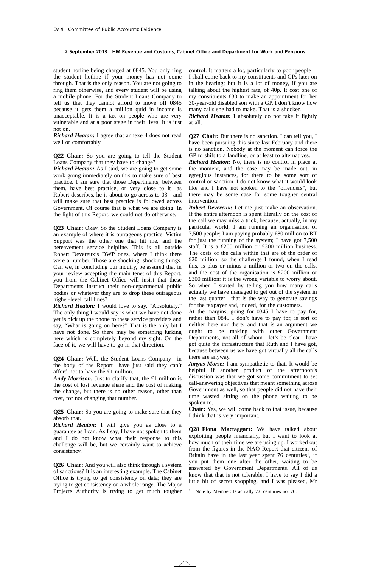student hotline being charged at 0845. You only ring the student hotline if your money has not come through. That is the only reason. You are not going to ring them otherwise, and every student will be using a mobile phone. For the Student Loans Company to tell us that they cannot afford to move off 0845 because it gets them a million quid in income is unacceptable. It is a tax on people who are very vulnerable and at a poor stage in their lives. It is just not on.

*Richard Heaton:* I agree that annexe 4 does not read well or comfortably.

**Q22 Chair:** So you are going to tell the Student Loans Company that they have to change?

*Richard Heaton:* As I said, we are going to get some work going immediately on this to make sure of best practice. I am sure that those Departments, between them, have best practice, or very close to it—as Robert describes, he is about to go across to 03—and will make sure that best practice is followed across Government. Of course that is what we are doing. In the light of this Report, we could not do otherwise.

**Q23 Chair:** Okay. So the Student Loans Company is an example of where it is outrageous practice. Victim Support was the other one that hit me, and the bereavement service helpline. This is all outside Robert Devereux's DWP ones, where I think there were a number. Those are shocking, shocking things. Can we, in concluding our inquiry, be assured that in your review accepting the main tenet of this Report, you from the Cabinet Office will insist that these Departments instruct their non-departmental public bodies or whatever they are to drop these outrageous higher-level call lines?

*Richard Heaton:* I would love to say, "Absolutely." The only thing I would say is what we have not done yet is pick up the phone to these service providers and say, "What is going on here?" That is the only bit I have not done. So there may be something lurking here which is completely beyond my sight. On the face of it, we will have to go in that direction.

**Q24 Chair:** Well, the Student Loans Company—in the body of the Report—have just said they can't afford not to have the £1 million.

*Andy Morrison:* Just to clarify that, the £1 million is the cost of lost revenue share and the cost of making the change, but there is no other reason, other than cost, for not changing that number.

**Q25 Chair:** So you are going to make sure that they absorb that.

*Richard Heaton:* I will give you as close to a guarantee as I can. As I say, I have not spoken to them and I do not know what their response to this challenge will be, but we certainly want to achieve consistency.

**Q26 Chair:** And you will also think through a system of sanctions? It is an interesting example. The Cabinet Office is trying to get consistency on data; they are trying to get consistency on a whole range. The Major Projects Authority is trying to get much tougher control. It matters a lot, particularly to poor people— I shall come back to my constituents and GPs later on in the hearing; but it is a lot of money, if you are talking about the highest rate, of 40p. It cost one of my constituents £30 to make an appointment for her 30-year-old disabled son with a GP. I don't know how many calls she had to make. That is a shocker.

*Richard Heaton:* I absolutely do not take it lightly at all.

**Q27 Chair:** But there is no sanction. I can tell you, I have been pursuing this since last February and there is no sanction. Nobody at the moment can force the GP to shift to a landline, or at least to alternatives.

*Richard Heaton:* No, there is no control in place at the moment, and the case may be made out, in egregious instances, for there to be some sort of control or sanction. I do not know what it would look like and I have not spoken to the "offenders", but there may be some case for some tougher central intervention.

*Robert Devereux:* Let me just make an observation. If the entire afternoon is spent literally on the cost of the call we may miss a trick, because, actually, in my particular world, I am running an organisation of 7,500 people; I am paying probably £80 million to BT for just the running of the system; I have got 7,500 staff. It is a £200 million or £300 million business. The costs of the calls within that are of the order of £20 million; so the challenge I found, when I read this, is plus or minus a million or two on the calls, and the cost of the organisation is £200 million or £300 million: it is the wrong variable to worry about. So when I started by telling you how many calls actually we have managed to get out of the system in the last quarter—that is the way to generate savings for the taxpayer and, indeed, for the customers.

At the margins, going for 0345 I have to pay for, rather than 0845 I don't have to pay for, is sort of neither here nor there; and that is an argument we ought to be making with other Government Departments, not all of whom—let's be clear—have got quite the infrastructure that Ruth and I have got, because between us we have got virtually all the calls there are anyway.

*Amyas Morse:* I am sympathetic to that. It would be helpful if another product of the afternoon's discussion was that we got some commitment to set call-answering objectives that meant something across Government as well, so that people did not have their time wasted sitting on the phone waiting to be spoken to.

**Chair:** Yes, we will come back to that issue, because I think that is very important.

**Q28 Fiona Mactaggart:** We have talked about exploiting people financially, but I want to look at how much of their time we are using up. I worked out from the figures in the NAO Report that citizens of Britain have in the last year spent  $76$  centuries<sup>1</sup>, if you put them one after the other, waiting to be answered by Government Departments. All of us know that that is not tolerable. I have to say I did a little bit of secret shopping, and I was pleased, Mr

Note by Member: Is actually 7.6 centuries not 76.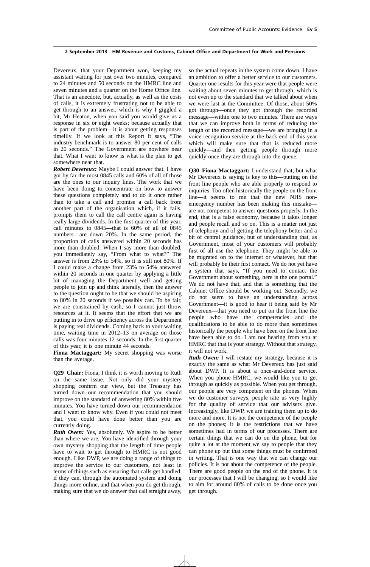Devereux, that your Department won, keeping my assistant waiting for just over two minutes, compared to 24 minutes and 50 seconds on the HMRC line and seven minutes and a quarter on the Home Office line. That is an anecdote, but, actually, as well as the costs of calls, it is extremely frustrating not to be able to get through to an answer, which is why I giggled a bit, Mr Heaton, when you said you would give us a response in six or eight weeks; because actually that is part of the problem—it is about getting responses timelily. If we look at this Report it says, "The industry benchmark is to answer 80 per cent of calls in 20 seconds." The Government are nowhere near that. What I want to know is what is the plan to get somewhere near that.

*Robert Devereux:* Maybe I could answer that. I have got by far the most 0845 calls and 60% of all of those are the ones to our inquiry lines. The work that we have been doing to concentrate on how to answer these questions completely and to do it once rather than to take a call and promise a call back from another part of the organisation which, if it fails, prompts them to call the call centre again is having really large dividends. In the first quarter of this year, call minutes to 0845—that is 60% of all of 0845 numbers—are down 20%. In the same period, the proportion of calls answered within 20 seconds has more than doubled. When I say more than doubled, you immediately say, "From what to what?" The answer is from 23% to 54%, so it is still not 80%. If I could make a change from 23% to 54% answered within 20 seconds in one quarter by applying a little bit of managing the Department well and getting people to join up and think laterally, then the answer to the question ought to be that we should be aspiring to 80% in 20 seconds if we possibly can. To be fair, we are constrained by cash, so I cannot just throw resources at it. It seems that the effort that we are putting in to drive up efficiency across the Department is paying real dividends. Coming back to your waiting time, waiting time in 2012–13 on average on those calls was four minutes 12 seconds. In the first quarter of this year, it is one minute 44 seconds.

**Fiona Mactaggart:** My secret shopping was worse than the average.

**Q29 Chair:** Fiona, I think it is worth moving to Ruth on the same issue. Not only did your mystery shopping confirm our view, but the Treasury has turned down our recommendation that you should improve on the standard of answering 80% within five minutes. You have turned down our recommendation and I want to know why. Even if you could not meet that, you could have done better than you are currently doing.

*Ruth Owen:* Yes, absolutely. We aspire to be better than where we are. You have identified through your own mystery shopping that the length of time people have to wait to get through to HMRC is not good enough. Like DWP, we are doing a range of things to improve the service to our customers, not least in terms of things such as ensuring that calls get handled, if they can, through the automated system and doing things more online, and that when you do get through, making sure that we do answer that call straight away, so the actual repeats in the system come down. I have an ambition to offer a better service to our customers. Quarter one results for this year were that people were waiting about seven minutes to get through, which is not even up to the standard that we talked about when we were last at the Committee. Of those, about 50% got through—once they got through the recorded message—within one to two minutes. There are ways that we can improve both in terms of reducing the length of the recorded message—we are bringing in a voice recognition service at the back end of this year which will make sure that that is reduced more quickly—and then getting people through more quickly once they are through into the queue.

**Q30 Fiona Mactaggart:** I understand that, but what Mr Devereux is saying is key to this—putting on the front line people who are able properly to respond to inquiries. Too often historically the people on the front line—it seems to me that the new NHS nonemergency number has been making this mistake are not competent to answer questions properly. In the end, that is a false economy, because it takes longer and people recall and so on. This is a matter not just of telephony and of getting the telephony better and a bit of central guidance, but of understanding that, as Government, most of your customers will probably first of all use the telephone. They might be able to be migrated on to the internet or whatever, but that will probably be their first contact. We do not yet have a system that says, "If you need to contact the Government about something, here is the one portal." We do not have that, and that is something that the Cabinet Office should be working out. Secondly, we do not seem to have an understanding across Government—it is good to hear it being said by Mr Devereux—that you need to put on the front line the people who have the competencies and the qualifications to be able to do more than sometimes historically the people who have been on the front line have been able to do. I am not hearing from you at HMRC that that is your strategy. Without that strategy, it will not work.

*Ruth Owen:* I will restate my strategy, because it is exactly the same as what Mr Devereux has just said about DWP. It is about a once-and-done service. When you phone HMRC, we would like you to get through as quickly as possible. When you get through, our people are very competent on the phones. When we do customer surveys, people rate us very highly for the quality of service that our advisers give. Increasingly, like DWP, we are training them up to do more and more. It is not the competence of the people on the phones; it is the restrictions that we have sometimes had in terms of our processes. There are certain things that we can do on the phone, but for quite a lot at the moment we say to people that they can phone up but that some things must be confirmed in writing. That is one way that we can change our policies. It is not about the competence of the people. There are good people on the end of the phone. It is our processes that I will be changing, so I would like to aim for around 80% of calls to be done once you get through.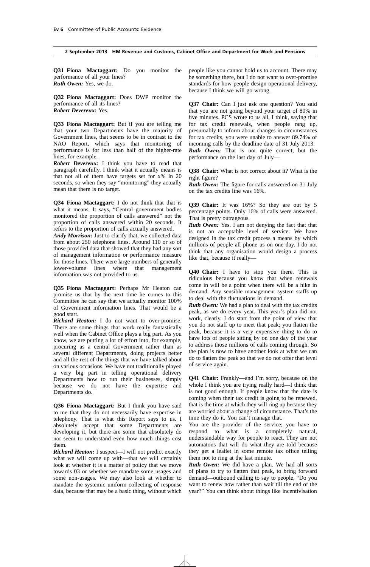**Q31 Fiona Mactaggart:** Do you monitor the performance of all your lines? *Ruth Owen:* Yes, we do.

**Q32 Fiona Mactaggart:** Does DWP monitor the performance of all its lines? *Robert Devereux:* Yes.

**Q33 Fiona Mactaggart:** But if you are telling me that your two Departments have the majority of Government lines, that seems to be in contrast to the NAO Report, which says that monitoring of performance is for less than half of the higher-rate lines, for example.

*Robert Devereux:* I think you have to read that paragraph carefully. I think what it actually means is that not all of them have targets set for x% in 20 seconds, so when they say "monitoring" they actually mean that there is no target.

**Q34 Fiona Mactaggart:** I do not think that that is what it means. It says, "Central government bodies monitored the proportion of calls answered" not the proportion of calls answered within 20 seconds. It refers to the proportion of calls actually answered.

*Andy Morrison:* Just to clarify that, we collected data from about 250 telephone lines. Around 110 or so of those provided data that showed that they had any sort of management information or performance measure for those lines. There were large numbers of generally lower-volume lines where that management information was not provided to us.

**Q35 Fiona Mactaggart:** Perhaps Mr Heaton can promise us that by the next time he comes to this Committee he can say that we actually monitor 100% of Government information lines. That would be a good start.

*Richard Heaton:* I do not want to over-promise. There are some things that work really fantastically well when the Cabinet Office plays a big part. As you know, we are putting a lot of effort into, for example, procuring as a central Government rather than as several different Departments, doing projects better and all the rest of the things that we have talked about on various occasions. We have not traditionally played a very big part in telling operational delivery Departments how to run their businesses, simply because we do not have the expertise and Departments do.

**Q36 Fiona Mactaggart:** But I think you have said to me that they do not necessarily have expertise in telephony. That is what this Report says to us. I absolutely accept that some Departments are developing it, but there are some that absolutely do not seem to understand even how much things cost them.

*Richard Heaton:* I suspect—I will not predict exactly what we will come up with—that we will certainly look at whether it is a matter of policy that we move towards 03 or whether we mandate some usages and some non-usages. We may also look at whether to mandate the systemic uniform collecting of response data, because that may be a basic thing, without which people like you cannot hold us to account. There may be something there, but I do not want to over-promise standards for how people design operational delivery, because I think we will go wrong.

**Q37 Chair:** Can I just ask one question? You said that you are not going beyond your target of 80% in five minutes. PCS wrote to us all, I think, saying that for tax credit renewals, when people rang up, presumably to inform about changes in circumstances for tax credits, you were unable to answer 89.74% of incoming calls by the deadline date of 31 July 2013.

*Ruth Owen:* That is not quite correct, but the performance on the last day of July—

**Q38 Chair:** What is not correct about it? What is the right figure?

*Ruth Owen:* The figure for calls answered on 31 July on the tax credits line was 16%.

**Q39 Chair:** It was 16%? So they are out by 5 percentage points. Only 16% of calls were answered. That is pretty outrageous.

*Ruth Owen:* Yes. I am not denying the fact that that is not an acceptable level of service. We have designed in the tax credit process a means by which millions of people all phone us on one day. I do not think that any organisation would design a process like that, because it really—

**Q40 Chair:** I have to stop you there. This is ridiculous because you know that when renewals come in will be a point when there will be a hike in demand. Any sensible management system staffs up to deal with the fluctuations in demand.

*Ruth Owen:* We had a plan to deal with the tax credits peak, as we do every year. This year's plan did not work, clearly. I do start from the point of view that you do not staff up to meet that peak; you flatten the peak, because it is a very expensive thing to do to have lots of people sitting by on one day of the year to address those millions of calls coming through. So the plan is now to have another look at what we can do to flatten the peak so that we do not offer that level of service again.

**Q41 Chair:** Frankly—and I'm sorry, because on the whole I think you are trying really hard—I think that is not good enough. If people know that the date is coming when their tax credit is going to be renewed, that is the time at which they will ring up because they are worried about a change of circumstance. That's the time they do it. You can't manage that.

You are the provider of the service; you have to respond to what is a completely natural, understandable way for people to react. They are not automatons that will do what they are told because they get a leaflet in some remote tax office telling them not to ring at the last minute.

*Ruth Owen:* We did have a plan. We had all sorts of plans to try to flatten that peak, to bring forward demand—outbound calling to say to people, "Do you want to renew now rather than wait till the end of the year?" You can think about things like incentivisation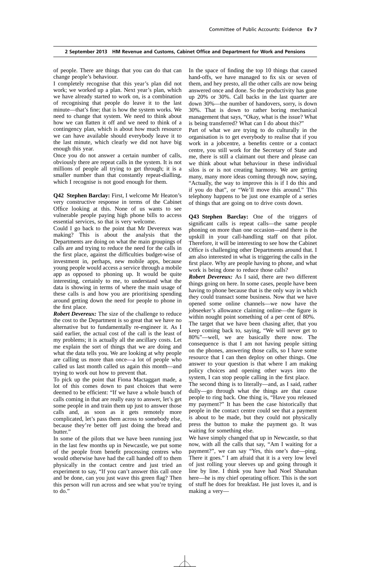of people. There are things that you can do that can change people's behaviour.

I completely recognise that this year's plan did not work; we worked up a plan. Next year's plan, which we have already started to work on, is a combination of recognising that people do leave it to the last minute—that's fine; that is how the system works. We need to change that system. We need to think about how we can flatten it off and we need to think of a contingency plan, which is about how much resource we can have available should everybody leave it to the last minute, which clearly we did not have big enough this year.

Once you do not answer a certain number of calls, obviously there are repeat calls in the system. It is not millions of people all trying to get through; it is a smaller number than that constantly repeat-dialling, which I recognise is not good enough for them.

**Q42 Stephen Barclay:** First, I welcome Mr Heaton's very constructive response in terms of the Cabinet Office looking at this. None of us wants to see vulnerable people paying high phone bills to access essential services, so that is very welcome.

Could I go back to the point that Mr Devereux was making? This is about the analysis that the Departments are doing on what the main groupings of calls are and trying to reduce the need for the calls in the first place, against the difficulties budget-wise of investment in, perhaps, new mobile apps, because young people would access a service through a mobile app as opposed to phoning up. It would be quite interesting, certainly to me, to understand what the data is showing in terms of where the main usage of these calls is and how you are prioritising spending around getting down the need for people to phone in the first place.

*Robert Devereux:* The size of the challenge to reduce the cost to the Department is so great that we have no alternative but to fundamentally re-engineer it. As I said earlier, the actual cost of the call is the least of my problems; it is actually all the ancillary costs. Let me explain the sort of things that we are doing and what the data tells you. We are looking at why people are calling us more than once—a lot of people who called us last month called us again this month—and trying to work out how to prevent that.

To pick up the point that Fiona Mactaggart made, a lot of this comes down to past choices that were deemed to be efficient: "If we have a whole bunch of calls coming in that are really easy to answer, let's get some people in and train them up just to answer those calls and, as soon as it gets remotely more complicated, let's pass them across to somebody else, because they're better off just doing the bread and butter.'

In some of the pilots that we have been running just in the last few months up in Newcastle, we put some of the people from benefit processing centres who would otherwise have had the call handed off to them physically in the contact centre and just tried an experiment to say, "If you can't answer this call once and be done, can you just wave this green flag? Then this person will run across and see what you're trying to do.'

In the space of finding the top 10 things that caused hand-offs, we have managed to fix six or seven of them, and hey presto, all the other calls are now being answered once and done. So the productivity has gone up 20% or 30%. Call backs in the last quarter are down 30%—the number of handovers, sorry, is down 30%. That is down to rather boring mechanical management that says, "Okay, what is the issue? What is being transferred? What can I do about this?"

Part of what we are trying to do culturally in the organisation is to get everybody to realise that if you work in a jobcentre, a benefits centre or a contact centre, you still work for the Secretary of State and me, there is still a claimant out there and please can we think about what behaviour in these individual silos is or is not creating harmony. We are getting many, many more ideas coming through now, saying, "Actually, the way to improve this is if I do this and if you do that", or "We'll move this around." This telephony happens to be just one example of a series of things that are going on to drive costs down.

**Q43 Stephen Barclay:** One of the triggers of significant calls is repeat calls—the same people phoning on more than one occasion—and there is the upskill in your call-handling staff on that pilot. Therefore, it will be interesting to see how the Cabinet Office is challenging other Departments around that. I am also interested in what is triggering the calls in the first place. Why are people having to phone, and what work is being done to reduce those calls?

*Robert Devereux:* As I said, there are two different things going on here. In some cases, people have been having to phone because that is the only way in which they could transact some business. Now that we have opened some online channels—we now have the jobseeker's allowance claiming online—the figure is within nought point something of a per cent of 80%.

The target that we have been chasing after, that you keep coming back to, saying, "We will never get to 80%"—well, we are basically there now. The consequence is that I am not having people sitting on the phones, answering those calls, so I have some resource that I can then deploy on other things. One answer to your question is that where I am making policy choices and opening other ways into the system, I can stop people calling in the first place.

The second thing is to literally—and, as I said, rather dully—go through what the things are that cause people to ring back. One thing is, "Have you released my payment?" It has been the case historically that people in the contact centre could see that a payment is about to be made, but they could not physically press the button to make the payment go. It was waiting for something else.

We have simply changed that up in Newcastle, so that now, with all the calls that say, "Am I waiting for a payment?", we can say "Yes, this one's due—ping. There it goes." I am afraid that it is a very low level of just rolling your sleeves up and going through it line by line. I think you have had Noel Shanahan here—he is my chief operating officer. This is the sort of stuff he does for breakfast. He just loves it, and is making a very—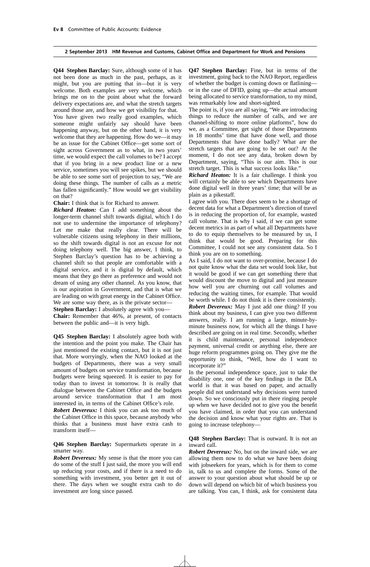**Q44 Stephen Barclay:** Sure, although some of it has not been done as much in the past, perhaps, as it might, but you are putting that in—but it is very welcome. Both examples are very welcome, which brings me on to the point about what the forward delivery expectations are, and what the stretch targets around those are, and how we get visibility for that.

You have given two really good examples, which someone might unfairly say should have been happening anyway, but on the other hand, it is very welcome that they are happening. How do we—it may be an issue for the Cabinet Office—get some sort of sight across Government as to what, in two years' time, we would expect the call volumes to be? I accept that if you bring in a new product line or a new service, sometimes you will see spikes, but we should be able to see some sort of projection to say, "We are doing these things. The number of calls as a metric has fallen significantly." How would we get visibility on that?

**Chair:** I think that is for Richard to answer.

*Richard Heaton:* Can I add something about the longer-term channel shift towards digital, which I do not use to undermine the importance of telephony? Let me make that really clear. There will be vulnerable citizens using telephony in their millions, so the shift towards digital is not an excuse for not doing telephony well. The big answer, I think, to Stephen Barclay's question has to be achieving a channel shift so that people are comfortable with a digital service, and it is digital by default, which means that they go there as preference and would not dream of using any other channel. As you know, that is our aspiration in Government, and that is what we are leading on with great energy in the Cabinet Office. We are some way there, as is the private sector—

**Stephen Barclay:** I absolutely agree with you—

**Chair:** Remember that 46%, at present, of contacts between the public and—it is very high.

**Q45 Stephen Barclay:** I absolutely agree both with the intention and the point you make. The Chair has just mentioned the existing contact, but it is not just that. More worryingly, when the NAO looked at the budgets of Departments, there was a very small amount of budgets on service transformation, because budgets were being squeezed. It is easier to pay for today than to invest in tomorrow. It is really that dialogue between the Cabinet Office and the budgets around service transformation that I am most interested in, in terms of the Cabinet Office's role.

*Robert Devereux:* I think you can ask too much of the Cabinet Office in this space, because anybody who thinks that a business must have extra cash to transform itself—

**Q46 Stephen Barclay:** Supermarkets operate in a smarter way.

*Robert Devereux:* My sense is that the more you can do some of the stuff I just said, the more you will end up reducing your costs, and if there is a need to do something with investment, you better get it out of there. The days when we sought extra cash to do investment are long since passed.

**Q47 Stephen Barclay:** Fine, but in terms of the investment, going back to the NAO Report, regardless of whether the budget is coming down or flatlining or in the case of DFID, going up—the actual amount being allocated to service transformation, to my mind, was remarkably low and short-sighted.

The point is, if you are all saying, "We are introducing things to reduce the number of calls, and we are channel-shifting to more online platforms", how do we, as a Committee, get sight of those Departments in 18 months' time that have done well, and those Departments that have done badly? What are the stretch targets that are going to be set out? At the moment, I do not see any data, broken down by Department, saying, "This is our aim. This is our stretch target. This is what success looks like."

*Richard Heaton:* It is a fair challenge. I think you will certainly be able to see which Departments have done digital well in three years' time; that will be as plain as a pikestaff.

I agree with you. There does seem to be a shortage of decent data for what a Department's direction of travel is in reducing the proportion of, for example, wasted call volume. That is why I said, if we can get some decent metrics in as part of what all Departments have to do to equip themselves to be measured by us, I think that would be good. Preparing for this Committee, I could not see any consistent data. So I think you are on to something.

As I said, I do not want to over-promise, because I do not quite know what the data set would look like, but it would be good if we can get something there that would discount the move to digital and just measure how well you are churning out call volumes and reducing the waiting times, for example. That would be worth while. I do not think it is there consistently. *Robert Devereux:* May I just add one thing? If you think about my business, I can give you two different answers, really. I am running a large, minute-byminute business now, for which all the things I have described are going on in real time. Secondly, whether it is child maintenance, personal independence payment, universal credit or anything else, there are huge reform programmes going on. They give me the opportunity to think, "Well, how do I want to incorporate it?"

In the personal independence space, just to take the disability one, one of the key findings in the DLA world is that it was based on paper, and actually people did not understand why decisions were turned down. So we consciously put in there ringing people up when we have decided not to give you the benefit you have claimed, in order that you can understand the decision and know what your rights are. That is going to increase telephony—

# **Q48 Stephen Barclay:** That is outward. It is not an inward call.

*Robert Devereux:* No, but on the inward side, we are allowing them now to do what we have been doing with jobseekers for years, which is for them to come in, talk to us and complete the forms. Some of the answer to your question about what should be up or down will depend on which bit of which business you are talking. You can, I think, ask for consistent data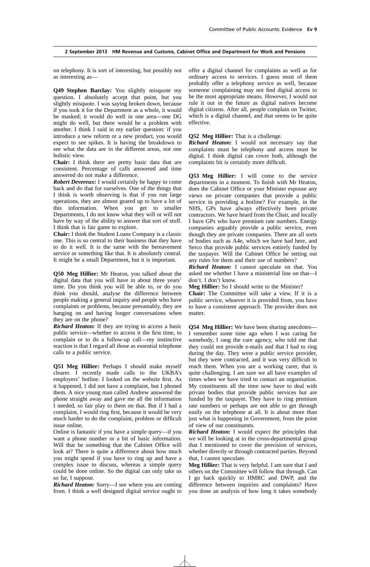on telephony. It is sort of interesting, but possibly not as interesting as—

**Q49 Stephen Barclay:** You slightly misquote my question. I absolutely accept that point, but you slightly misquote. I was saying broken down, because if you took it for the Department as a whole, it would be masked; it would do well in one area—one DG might do well, but there would be a problem with another. I think I said in my earlier question: if you introduce a new reform or a new product, you would expect to see spikes. It is having the breakdown to see what the data are in the different areas, not one holistic view.

**Chair:** I think there are pretty basic data that are consistent. Percentage of calls answered and time answered do not make a difference.

*Robert Devereux:* I would certainly be happy to come back and do that for ourselves. One of the things that I think is worth observing is that if you run large operations, they are almost geared up to have a lot of this information. When you get to smaller Departments, I do not know what they will or will not have by way of the ability to answer that sort of stuff. I think that is fair game to explore.

**Chair:** I think the Student Loans Company is a classic one. This is so central to their business that they have to do it well. It is the same with the bereavement service or something like that. It is absolutely central. It might be a small Department, but it is important.

**Q50 Meg Hillier:** Mr Heaton, you talked about the digital data that you will have in about three years' time. Do you think you will be able to, or do you think you should, analyse the difference between people making a general inquiry and people who have complaints or problems, because presumably, they are hanging on and having longer conversations when they are on the phone?

*Richard Heaton:* If they are trying to access a basic public service—whether to access it the first time, to complain or to do a follow-up call—my instinctive reaction is that I regard all those as essential telephone calls to a public service.

**Q51 Meg Hillier:** Perhaps I should make myself clearer. I recently made calls to the UKBA's employers' hotline. I looked on the website first. As it happened, I did not have a complaint, but I phoned them. A nice young man called Andrew answered the phone straight away and gave me all the information I needed, so fair play to them on that. But if I had a complaint, I would ring first, because it would be very much harder to do the complaint, problem or difficult issue online.

Online is fantastic if you have a simple query—if you want a phone number or a bit of basic information. Will that be something that the Cabinet Office will look at? There is quite a difference about how much you might spend if you have to ring up and have a complex issue to discuss, whereas a simple query could be done online. So the digital can only take us so far, I suppose.

*Richard Heaton:* Sorry—I see where you are coming from. I think a well designed digital service ought to offer a digital channel for complaints as well as for ordinary access to services. I guess most of them probably offer a telephony service as well, because someone complaining may not find digital access to be the most appropriate means. However, I would not rule it out in the future as digital natives become digital citizens. After all, people complain on Twitter, which is a digital channel, and that seems to be quite effective.

**Q52 Meg Hillier:** That is a challenge.

*Richard Heaton:* I would not necessary say that complaints must be telephony and access must be digital. I think digital can cover both, although the complaints bit is certainly more difficult.

**Q53 Meg Hillier:** I will come to the service departments in a moment. To finish with Mr Heaton, does the Cabinet Office or your Minister espouse any views on private companies that provide a public service in providing a hotline? For example, in the NHS, GPs have always effectively been private contractors. We have heard from the Chair, and locally I have GPs who have premium rate numbers. Energy companies arguably provide a public service, even though they are private companies. There are all sorts of bodies such as A4e, which we have had here, and Serco that provide public services entirely funded by the taxpayer. Will the Cabinet Office be setting out any rules for them and their use of numbers?

*Richard Heaton:* I cannot speculate on that. You asked me whether I have a ministerial line on that—I don't. I don't know.

**Meg Hillier:** So I should write to the Minister?

**Chair:** The Committee will take a view. If it is a public service, whoever it is provided from, you have to have a consistent approach. The provider does not matter.

**Q54 Meg Hillier:** We have been sharing anecdotes— I remember some time ago when I was caring for somebody, I rang the care agency, who told me that they could not provide e-mails and that I had to ring during the day. They were a public service provider, but they were contracted, and it was very difficult to reach them. When you are a working carer, that is quite challenging. I am sure we all have examples of times when we have tried to contact an organisation. My constituents all the time now have to deal with private bodies that provide public services but are funded by the taxpayer. They have to ring premium rate numbers or perhaps are not able to get through easily on the telephone at all. It is about more than just what is happening in Government, from the point of view of our constituents.

*Richard Heaton:* I would expect the principles that we will be looking at in the cross-departmental group that I mentioned to cover the provision of services, whether directly or through contracted parties. Beyond that, I cannot speculate.

**Meg Hillier:** That is very helpful. I am sure that I and others on the Committee will follow that through. Can I go back quickly to HMRC and DWP, and the difference between inquiries and complaints? Have you done an analysis of how long it takes somebody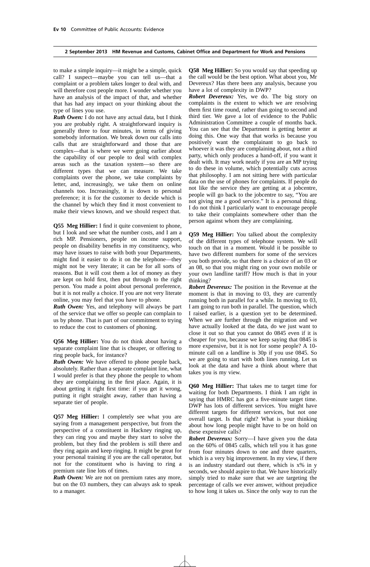to make a simple inquiry—it might be a simple, quick call? I suspect—maybe you can tell us—that a complaint or a problem takes longer to deal with, and will therefore cost people more. I wonder whether you have an analysis of the impact of that, and whether that has had any impact on your thinking about the type of lines you use.

*Ruth Owen:* I do not have any actual data, but I think you are probably right. A straightforward inquiry is generally three to four minutes, in terms of giving somebody information. We break down our calls into calls that are straightforward and those that are complex—that is where we were going earlier about the capability of our people to deal with complex areas such as the taxation system—so there are different types that we can measure. We take complaints over the phone, we take complaints by letter, and, increasingly, we take them on online channels too. Increasingly, it is down to personal preference; it is for the customer to decide which is the channel by which they find it most convenient to make their views known, and we should respect that.

**Q55 Meg Hillier:** I find it quite convenient to phone, but I look and see what the number costs, and I am a rich MP. Pensioners, people on income support, people on disability benefits in my constituency, who may have issues to raise with both your Departments, might find it easier to do it on the telephone—they might not be very literate; it can be for all sorts of reasons. But it will cost them a lot of money as they are kept on hold first, then put through to the right person. You made a point about personal preference, but it is not really a choice. If you are not very literate online, you may feel that you have to phone.

*Ruth Owen:* Yes, and telephony will always be part of the service that we offer so people can complain to us by phone. That is part of our commitment to trying to reduce the cost to customers of phoning.

**Q56 Meg Hillier:** You do not think about having a separate complaint line that is cheaper, or offering to ring people back, for instance?

*Ruth Owen:* We have offered to phone people back, absolutely. Rather than a separate complaint line, what I would prefer is that they phone the people to whom they are complaining in the first place. Again, it is about getting it right first time: if you get it wrong, putting it right straight away, rather than having a separate tier of people.

**Q57 Meg Hillier:** I completely see what you are saying from a management perspective, but from the perspective of a constituent in Hackney ringing up, they can ring you and maybe they start to solve the problem, but they find the problem is still there and they ring again and keep ringing. It might be great for your personal training if you are the call operator, but not for the constituent who is having to ring a premium rate line lots of times.

*Ruth Owen:* We are not on premium rates any more, but on the 03 numbers, they can always ask to speak to a manager.

**Q58 Meg Hillier:** So you would say that speeding up the call would be the best option. What about you, Mr Devereux? Has there been any analysis, because you have a lot of complexity in DWP?

*Robert Devereux:* Yes, we do. The big story on complaints is the extent to which we are resolving them first time round, rather than going to second and third tier. We gave a lot of evidence to the Public Administration Committee a couple of months back. You can see that the Department is getting better at doing this. One way that that works is because you positively want the complainant to go back to whoever it was they are complaining about, not a third party, which only produces a hand-off, if you want it dealt with. It may work neatly if you are an MP trying to do these in volume, which potentially cuts across that philosophy. I am not sitting here with particular data on the use of phones for complaints. If people do not like the service they are getting at a jobcentre, people will go back to the jobcentre to say, "You are not giving me a good service." It is a personal thing. I do not think I particularly want to encourage people to take their complaints somewhere other than the person against whom they are complaining.

**Q59 Meg Hillier:** You talked about the complexity of the different types of telephone system. We will touch on that in a moment. Would it be possible to have two different numbers for some of the services you both provide, so that there is a choice of an 03 or an 08, so that you might ring on your own mobile or your own landline tariff? How much is that in your thinking?

*Robert Devereux:* The position in the Revenue at the moment is that in moving to 03, they are currently running both in parallel for a while. In moving to 03, I am going to run both in parallel. The question, which I raised earlier, is a question yet to be determined. When we are further through the migration and we have actually looked at the data, do we just want to close it out so that you cannot do 0845 even if it is cheaper for you, because we keep saying that 0845 is more expensive, but it is not for some people? A 10 minute call on a landline is 30p if you use 0845. So we are going to start with both lines running. Let us look at the data and have a think about where that takes you is my view.

**Q60 Meg Hillier:** That takes me to target time for waiting for both Departments. I think I am right in saying that HMRC has got a five-minute target time. DWP has lots of different services. You might have different targets for different services, but not one overall target. Is that right? What is your thinking about how long people might have to be on hold on these expensive calls?

*Robert Devereux:* Sorry—I have given you the data on the 60% of 0845 calls, which tell you it has gone from four minutes down to one and three quarters, which is a very big improvement. In my view, if there is an industry standard out there, which is x% in y seconds, we should aspire to that. We have historically simply tried to make sure that we are targeting the percentage of calls we ever answer, without prejudice to how long it takes us. Since the only way to run the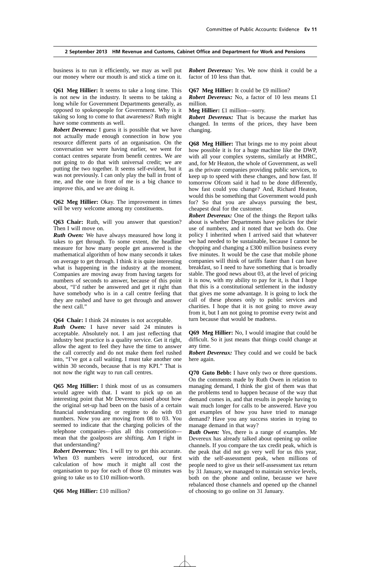business is to run it efficiently, we may as well put our money where our mouth is and stick a time on it.

**Q61 Meg Hillier:** It seems to take a long time. This is not new in the industry. It seems to be taking a long while for Government Departments generally, as opposed to spokespeople for Government. Why is it taking so long to come to that awareness? Ruth might have some comments as well.

*Robert Devereux:* I guess it is possible that we have not actually made enough connection in how you resource different parts of an organisation. On the conversation we were having earlier, we went for contact centres separate from benefit centres. We are not going to do that with universal credit; we are putting the two together. It seems self-evident, but it was not previously. I can only play the ball in front of me, and the one in front of me is a big chance to improve this, and we are doing it.

**Q62 Meg Hillier:** Okay. The improvement in times will be very welcome among my constituents.

**Q63 Chair:** Ruth, will you answer that question? Then I will move on.

*Ruth Owen:* We have always measured how long it takes to get through. To some extent, the headline measure for how many people get answered is the mathematical algorithm of how many seconds it takes on average to get through. I think it is quite interesting what is happening in the industry at the moment. Companies are moving away from having targets for numbers of seconds to answer, because of this point about, "I'd rather be answered and get it right than have somebody who is in a call centre feeling that they are rushed and have to get through and answer the next call."

**Q64 Chair:** I think 24 minutes is not acceptable.

*Ruth Owen:* I have never said 24 minutes is acceptable. Absolutely not. I am just reflecting that industry best practice is a quality service. Get it right, allow the agent to feel they have the time to answer the call correctly and do not make them feel rushed into, "I've got a call waiting. I must take another one within 30 seconds, because that is my KPI." That is not now the right way to run call centres.

**Q65 Meg Hillier:** I think most of us as consumers would agree with that. I want to pick up on an interesting point that Mr Devereux raised about how the original set-up had been on the basis of a certain financial understanding or regime to do with 03 numbers. Now you are moving from 08 to 03. You seemed to indicate that the charging policies of the telephone companies—plus all this competition mean that the goalposts are shifting. Am I right in that understanding?

*Robert Devereux:* Yes. I will try to get this accurate. When 03 numbers were introduced, our first calculation of how much it might all cost the organisation to pay for each of those 03 minutes was going to take us to £10 million-worth.

*Robert Devereux:* Yes. We now think it could be a factor of 10 less than that.

#### **Q67 Meg Hillier:** It could be £9 million?

*Robert Devereux:* No, a factor of 10 less means £1 million.

**Meg Hillier:** £1 million—sorry.

*Robert Devereux:* That is because the market has changed. In terms of the prices, they have been changing.

**Q68 Meg Hillier:** That brings me to my point about how possible it is for a huge machine like the DWP, with all your complex systems, similarly at HMRC, and, for Mr Heaton, the whole of Government, as well as the private companies providing public services, to keep up to speed with these changes, and how fast. If tomorrow Ofcom said it had to be done differently, how fast could you change? And, Richard Heaton, would this be something that Government would push for? So that you are always pursuing the best, cheapest deal for the customer.

*Robert Devereux:* One of the things the Report talks about is whether Departments have policies for their use of numbers, and it noted that we both do. One policy I inherited when I arrived said that whatever we had needed to be sustainable, because I cannot be chopping and changing a £300 million business every five minutes. It would be the case that mobile phone companies will think of tariffs faster than I can have breakfast, so I need to have something that is broadly stable. The good news about 03, at the level of pricing it is now, with my ability to pay for it, is that I hope that this is a constitutional settlement in the industry that gives me some advantage. It is going to lock the call of these phones only to public services and charities. I hope that it is not going to move away from it, but I am not going to promise every twist and turn because that would be madness.

**Q69 Meg Hillier:** No, I would imagine that could be difficult. So it just means that things could change at any time.

*Robert Devereux:* They could and we could be back here again.

**Q70 Guto Bebb:** I have only two or three questions. On the comments made by Ruth Owen in relation to managing demand, I think the gist of them was that the problems tend to happen because of the way that demand comes in, and that results in people having to wait much longer for calls to be answered. Have you got examples of how you have tried to manage demand? Have you any success stories in trying to manage demand in that way?

*Ruth Owen:* Yes, there is a range of examples. Mr Devereux has already talked about opening up online channels. If you compare the tax credit peak, which is the peak that did not go very well for us this year, with the self-assessment peak, when millions of people need to give us their self-assessment tax return by 31 January, we managed to maintain service levels, both on the phone and online, because we have rebalanced those channels and opened up the channel of choosing to go online on 31 January.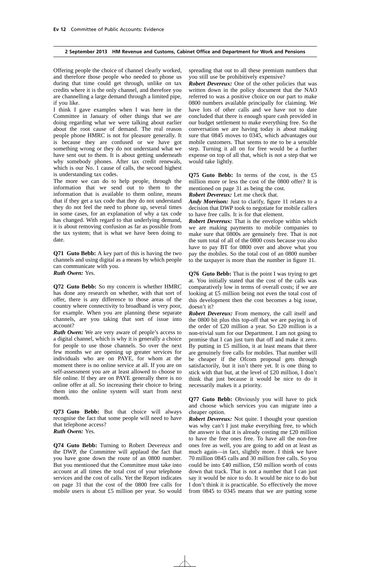Offering people the choice of channel clearly worked, and therefore those people who needed to phone us during that time could get through, unlike on tax credits where it is the only channel, and therefore you are channelling a large demand through a limited pipe, if you like.

I think I gave examples when I was here in the Committee in January of other things that we are doing regarding what we were talking about earlier about the root cause of demand. The real reason people phone HMRC is not for pleasure generally. It is because they are confused or we have got something wrong or they do not understand what we have sent out to them. It is about getting underneath why somebody phones. After tax credit renewals, which is our No. 1 cause of calls, the second highest is understanding tax codes.

The more we can do to help people, through the information that we send out to them to the information that is available to them online, means that if they get a tax code that they do not understand they do not feel the need to phone up, several times in some cases, for an explanation of why a tax code has changed. With regard to that underlying demand, it is about removing confusion as far as possible from the tax system; that is what we have been doing to date.

**Q71 Guto Bebb:** A key part of this is having the two channels and using digital as a means by which people can communicate with you. *Ruth Owen:* Yes.

**Q72 Guto Bebb:** So my concern is whether HMRC has done any research on whether, with that sort of offer, there is any difference to those areas of the country where connectivity to broadband is very poor, for example. When you are planning these separate channels, are you taking that sort of issue into account?

*Ruth Owen:* We are very aware of people's access to a digital channel, which is why it is generally a choice for people to use those channels. So over the next few months we are opening up greater services for individuals who are on PAYE, for whom at the moment there is no online service at all. If you are on self-assessment you are at least allowed to choose to file online. If they are on PAYE generally there is no online offer at all. So increasing their choice to bring them into the online system will start from next month.

**Q73 Guto Bebb:** But that choice will always recognise the fact that some people will need to have that telephone access? *Ruth Owen:* Yes.

**Q74 Guto Bebb:** Turning to Robert Devereux and the DWP, the Committee will applaud the fact that you have gone down the route of an 0800 number. But you mentioned that the Committee must take into account at all times the total cost of your telephone services and the cost of calls. Yet the Report indicates on page 31 that the cost of the 0800 free calls for mobile users is about £5 million per year. So would spreading that out to all these premium numbers that you still use be prohibitively expensive?

*Robert Devereux:* One of the other policies that was written down in the policy document that the NAO referred to was a positive choice on our part to make 0800 numbers available principally for claiming. We have lots of other calls and we have not to date concluded that there is enough spare cash provided in our budget settlement to make everything free. So the conversation we are having today is about making sure that 0845 moves to 0345, which advantages our mobile customers. That seems to me to be a sensible step. Turning it all on for free would be a further expense on top of all that, which is not a step that we would take lightly.

**Q75 Guto Bebb:** In terms of the cost, is the £5 million more or less the cost of the 0800 offer? It is mentioned on page 31 as being the cost.

*Robert Devereux:* Let me check that.

*Andy Morrison:* Just to clarify, figure 11 relates to a decision that DWP took to negotiate for mobile callers to have free calls. It is for that element.

*Robert Devereux:* That is the envelope within which we are making payments to mobile companies to make sure that 0800s are genuinely free. That is not the sum total of all of the 0800 costs because you also have to pay BT for 0800 over and above what you pay the mobiles. So the total cost of an 0800 number to the taxpayer is more than the number in figure 11.

**Q76 Guto Bebb:** That is the point I was trying to get at. You initially stated that the cost of the calls was comparatively low in terms of overall costs; if we are looking at £5 million being not even the total cost of this development then the cost becomes a big issue, doesn't it?

*Robert Devereux:* From memory, the call itself and the 0800 bit plus this top-off that we are paying is of the order of £20 million a year. So £20 million is a non-trivial sum for our Department. I am not going to promise that I can just turn that off and make it zero. By putting in £5 million, it at least means that there are genuinely free calls for mobiles. That number will be cheaper if the Ofcom proposal gets through satisfactorily, but it isn't there yet. It is one thing to stick with that but, at the level of £20 million, I don't think that just because it would be nice to do it necessarily makes it a priority.

**Q77 Guto Bebb:** Obviously you will have to pick and choose which services you can migrate into a cheaper option.

*Robert Devereux:* Not quite. I thought your question was why can't I just make everything free, to which the answer is that it is already costing me £20 million to have the free ones free. To have all the non-free ones free as well, you are going to add on at least as much again—in fact, slightly more. I think we have 70 million 0845 calls and 30 million free calls. So you could be into £40 million, £50 million worth of costs down that track. That is not a number that I can just say it would be nice to do. It would be nice to do but I don't think it is practicable. So effectively the move from 0845 to 0345 means that we are putting some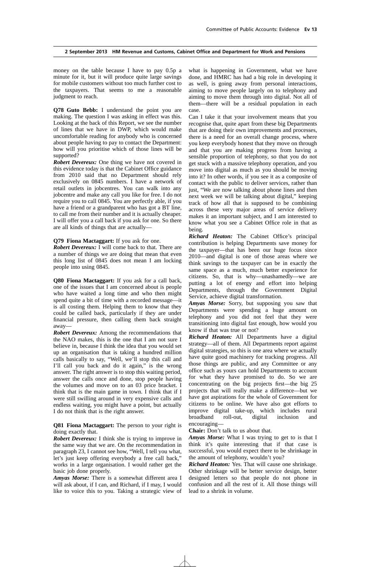money on the table because I have to pay 0.5p a minute for it, but it will produce quite large savings for mobile customers without too much further cost to the taxpayers. That seems to me a reasonable judgment to reach.

**Q78 Guto Bebb:** I understand the point you are making. The question I was asking in effect was this. Looking at the back of this Report, we see the number of lines that we have in DWP, which would make uncomfortable reading for anybody who is concerned about people having to pay to contact the Department: how will you prioritise which of those lines will be supported?

*Robert Devereux:* One thing we have not covered in this evidence today is that the Cabinet Office guidance from 2010 said that no Department should rely exclusively on 0845 numbers. I have a network of retail outlets in jobcentres. You can walk into any jobcentre and make any call you like for free. I do not require you to call 0845. You are perfectly able, if you have a friend or a grandparent who has got a BT line, to call me from their number and it is actually cheaper. I will offer you a call back if you ask for one. So there are all kinds of things that are actually—

# **Q79 Fiona Mactaggart:** If you ask for one.

*Robert Devereux:* I will come back to that. There are a number of things we are doing that mean that even this long list of 0845 does not mean I am locking people into using 0845.

**Q80 Fiona Mactaggart:** If you ask for a call back, one of the issues that I am concerned about is people who have waited a long time and who then might spend quite a bit of time with a recorded message—it is all costing them. Helping them to know that they could be called back, particularly if they are under financial pressure, then calling them back straight away—

*Robert Devereux:* Among the recommendations that the NAO makes, this is the one that I am not sure I believe in, because I think the idea that you would set up an organisation that is taking a hundred million calls basically to say, "Well, we'll stop this call and I'll call you back and do it again," is the wrong answer. The right answer is to stop this waiting period, answer the calls once and done, stop people having the volumes and move on to an 03 price bracket. I think that is the main game in town. I think that if I were still swilling around in very expensive calls and endless waiting, you might have a point, but actually I do not think that is the right answer.

**Q81 Fiona Mactaggart:** The person to your right is doing exactly that.

*Robert Devereux:* I think she is trying to improve in the same way that we are. On the recommendation in paragraph 23, I cannot see how, "Well, I tell you what, let's just keep offering everybody a free call back," works in a large organisation. I would rather get the basic job done properly.

*Amyas Morse:* There is a somewhat different area I will ask about, if I can, and Richard, if I may, I would like to voice this to you. Taking a strategic view of what is happening in Government, what we have done, and HMRC has had a big role in developing it as well, is going away from personal interactions, aiming to move people largely on to telephony and aiming to move them through into digital. Not all of them—there will be a residual population in each case.

Can I take it that your involvement means that you recognise that, quite apart from these big Departments that are doing their own improvements and processes, there is a need for an overall change process, where you keep everybody honest that they move on through and that you are making progress from having a sensible proportion of telephony, so that you do not get stuck with a massive telephony operation, and you move into digital as much as you should be moving into it? In other words, if you see it as a composite of contact with the public to deliver services, rather than just, "We are now talking about phone lines and then next week we will be talking about digital," keeping track of how all that is supposed to be combining across these very major areas of service delivery makes it an important subject, and I am interested to know what you see a Cabinet Office role in that as being.

*Richard Heaton:* The Cabinet Office's principal contribution is helping Departments save money for the taxpayer—that has been our huge focus since 2010—and digital is one of those areas where we think savings to the taxpayer can be in exactly the same space as a much, much better experience for citizens. So, that is why—unashamedly—we are putting a lot of energy and effort into helping Departments, through the Government Digital Service, achieve digital transformation.

*Amyas Morse:* Sorry, but supposing you saw that Departments were spending a huge amount on telephony and you did not feel that they were transitioning into digital fast enough, how would you know if that was true or not?

*Richard Heaton:* All Departments have a digital strategy—all of them. All Departments report against digital strategies, so this is one area where we actually have quite good machinery for tracking progress. All those things are public, and any Committee or any office such as yours can hold Departments to account for what they have promised to do. So we are concentrating on the big projects first—the big 25 projects that will really make a difference—but we have got aspirations for the whole of Government for citizens to be online. We have also got efforts to improve digital take-up, which includes rural broadband roll-out, digital inclusion and encouraging—

**Chair:** Don't talk to us about that.

*Amyas Morse:* What I was trying to get to is that I think it's quite interesting that if that case is successful, you would expect there to be shrinkage in the amount of telephony, wouldn't you?

*Richard Heaton:* Yes. That will cause one shrinkage. Other shrinkage will be better service design, better designed letters so that people do not phone in confusion and all the rest of it. All those things will lead to a shrink in volume.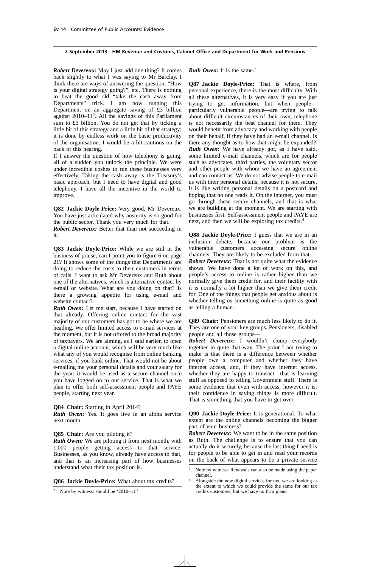*Robert Devereux:* May I just add one thing? It comes back slightly to what I was saying to Mr Barclay. I think there are ways of answering the question, "How is your digital strategy going?", etc. There is nothing to beat the good old "take the cash away from Departments" trick. I am now running this Department on an aggregate saving of £3 billion against 2010–112 . All the savings of this Parliament sum to £3 billion. You do not get that by ticking a little bit of this strategy and a little bit of that strategy; it is done by endless work on the basic productivity of the organisation. I would be a bit cautious on the back of this hearing.

If I answer the question of how telephony is going, all of a sudden you unlock the principle. We were under incredible coshes to run these businesses very effectively. Taking the cash away is the Treasury's basic approach, but I need to have digital and good telephony. I have all the incentive in the world to improve.

**Q82 Jackie Doyle-Price:** Very good, Mr Devereux. You have just articulated why austerity is so good for the public sector. Thank you very much for that.

*Robert Devereux:* Better that than not succeeding in it.

**Q83 Jackie Doyle-Price:** While we are still in the business of praise, can I point you to figure 6 on page 21? It shows some of the things that Departments are doing to reduce the costs to their customers in terms of calls. I want to ask Mr Devereux and Ruth about one of the alternatives, which is alternative contact by e-mail or website. What are you doing on that? Is there a growing appetite for using e-mail and website contact?

*Ruth Owen:* Let me start, because I have started on that already. Offering online contact for the vast majority of our customers has got to be where we are heading. We offer limited access to e-mail services at the moment, but it is not offered to the broad majority of taxpayers. We are aiming, as I said earlier, to open a digital online account, which will be very much like what any of you would recognise from online banking services, if you bank online. That would not be about e-mailing me your personal details and your salary for the year; it would be used as a secure channel once you have logged on to our service. That is what we plan to offer both self-assessment people and PAYE people, starting next year.

# **Q84 Chair:** Starting in April 2014?

*Ruth Owen:* Yes. It goes live in an alpha service next month.

#### **Q85 Chair:** Are you piloting it?

*Ruth Owen:* We are piloting it from next month, with 1,000 people getting access to that service. Businesses, as you know, already have access to that, and that is an increasing part of how businesses understand what their tax position is.

#### **Q86 Jackie Doyle-Price:** What about tax credits?

#### **Ruth Owen:** It is the same.<sup>3</sup>

**Q87 Jackie Doyle-Price:** That is where, from personal experience, there is the most difficulty. With all these alternatives, it is very easy if you are just trying to get information, but when people particularly vulnerable people—are trying to talk about difficult circumstances of their own, telephone is not necessarily the best channel for them. They would benefit from advocacy and working with people on their behalf, if they have had an e-mail channel. Is there any thought as to how that might be expanded? *Ruth Owen:* We have already got, as I have said, some limited e-mail channels, which are for people such as advocates, third parties, the voluntary sector and other people with whom we have an agreement and can contact us. We do not advise people to e-mail us with their personal details, because it is not secure. It is like writing personal details on a postcard and hoping that no one reads it. On the internet, you must go through these secure channels, and that is what we are building at the moment. We are starting with businesses first. Self-assessment people and PAYE are next, and then we will be exploring tax credits.4

**Q88 Jackie Doyle-Price:** I guess that we are in an inclusion debate, because our problem is the vulnerable customers accessing secure online channels. They are likely to be excluded from that.

*Robert Devereux:* That is not quite what the evidence shows. We have done a lot of work on this, and people's access to online is rather higher than we normally give them credit for, and their facility with it is normally a lot higher than we give them credit for. One of the things that people get anxious about is whether telling us something online is quite as good as telling a human.

**Q89 Chair:** Pensioners are much less likely to do it. They are one of your key groups. Pensioners, disabled people and all those groups—

*Robert Devereux:* I wouldn't clump everybody together in quite that way. The point I am trying to make is that there is a difference between whether people own a computer and whether they have internet access, and, if they have internet access, whether they are happy to transact—that is learning stuff as opposed to telling Government stuff. There is some evidence that even with access, however it is, their confidence in saying things is more difficult. That is something that you have to get over.

**Q90 Jackie Doyle-Price:** It is generational. To what extent are the online channels becoming the bigger part of your business?

*Robert Devereux:* We want to be in the same position as Ruth. The challenge is to ensure that you can actually do it securely, because the last thing I need is for people to be able to get in and read your records on the back of what appears to be a private service

<sup>2</sup> Note by witness: should be '2010–11.'

<sup>&</sup>lt;sup>3</sup> Note by witness: Renewals can also be made using the paper channel.

<sup>4</sup> Alongside the new digital services for tax, we are looking at the extent to which we could provide the same for our tax credits customers, but we have no firm plans.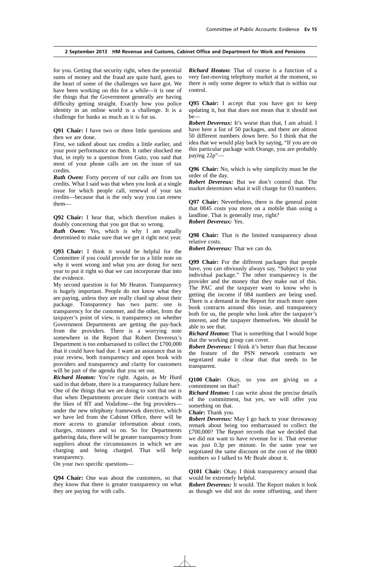for you. Getting that security right, when the potential sums of money and the fraud are quite hard, goes to the heart of some of the challenges we have got. We have been working on this for a while—it is one of the things that the Government generally are having difficulty getting straight. Exactly how you police identity in an online world is a challenge. It is a challenge for banks as much as it is for us.

**Q91 Chair:** I have two or three little questions and then we are done.

First, we talked about tax credits a little earlier, and your poor performance on them. It rather shocked me that, in reply to a question from Guto, you said that most of your phone calls are on the issue of tax credits.

*Ruth Owen:* Forty percent of our calls are from tax credits. What I said was that when you look at a single issue for which people call, renewal of your tax credits—because that is the only way you can renew them—

**Q92 Chair:** I hear that, which therefore makes it doubly concerning that you got that so wrong.

*Ruth Owen:* Yes, which is why I am equally determined to make sure that we get it right next year.

**Q93 Chair:** I think it would be helpful for the Committee if you could provide for us a little note on why it went wrong and what you are doing for next year to put it right so that we can incorporate that into the evidence.

My second question is for Mr Heaton. Transparency is hugely important. People do not know what they are paying, unless they are really clued up about their package. Transparency has two parts: one is transparency for the customer, and the other, from the taxpayer's point of view, is transparency on whether Government Departments are getting the pay-back from the providers. There is a worrying note somewhere in the Report that Robert Devereux's Department is too embarrassed to collect the £700,000 that it could have had due. I want an assurance that in your review, both transparency and open book with providers and transparency and clarity for customers will be part of the agenda that you set out.

*Richard Heaton:* You're right. Again, as Mr Hurd said in that debate, there is a transparency failure here. One of the things that we are doing to sort that out is that when Departments procure their contracts with the likes of BT and Vodafone—the big providers under the new telephony framework directive, which we have led from the Cabinet Office, there will be more access to granular information about costs, charges, minutes and so on. So for Departments gathering data, there will be greater transparency from suppliers about the circumstances in which we are charging and being charged. That will help transparency.

On your two specific questions—

**Q94 Chair:** One was about the customers, so that they know that there is greater transparency on what they are paying for with calls.

*Richard Heaton:* That of course is a function of a very fast-moving telephony market at the moment, so there is only some degree to which that is within our control.

**Q95 Chair:** I accept that you have got to keep updating it, but that does not mean that it should not be—

*Robert Devereux:* It's worse than that, I am afraid. I have here a list of 50 packages, and there are almost 50 different numbers down here. So I think that the idea that we would play back by saying, "If you are on this particular package with Orange, you are probably paying 22p"—

**Q96 Chair:** No, which is why simplicity must be the order of the day.

*Robert Devereux:* But we don't control that. The market determines what it will charge for 03 numbers.

**Q97 Chair:** Nevertheless, there is the general point that 0845 costs you more on a mobile than using a landline. That is generally true, right? *Robert Devereux:* Yes.

**Q98 Chair:** That is the limited transparency about relative costs.

*Robert Devereux:* That we can do.

**Q99 Chair:** For the different packages that people have, you can obviously always say, "Subject to your individual package." The other transparency is the provider and the money that they make out of this. The PAC and the taxpayer want to know who is getting the income if 084 numbers are being used. There is a demand in the Report for much more open book contracts around this issue, and transparency both for us, the people who look after the taxpayer's interest, and the taxpayer themselves. We should be able to see that.

*Richard Heaton:* That is something that I would hope that the working group can cover.

*Robert Devereux:* I think it's better than that because the feature of the PSN network contracts we negotiated make it clear that that needs to be transparent.

**Q100 Chair:** Okay, so you are giving us a commitment on that?

*Richard Heaton:* I can write about the precise details of the commitment, but yes, we will offer you something on that.

**Chair:** Thank you.

*Robert Devereux:* May I go back to your throwaway remark about being too embarrassed to collect the £700,000? The Report records that we decided that we did not want to have revenue for it. That revenue was just 0.3p per minute. In the same year we negotiated the same discount on the cost of the 0800 numbers so I talked to Mr Beale about it.

**Q101 Chair:** Okay. I think transparency around that would be extremely helpful.

*Robert Devereux:* It would. The Report makes it look as though we did not do some offsetting, and there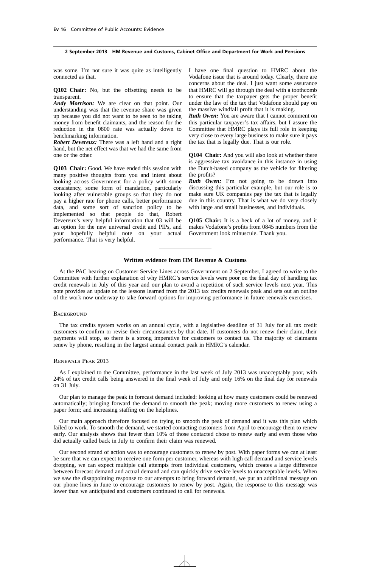was some. I'm not sure it was quite as intelligently connected as that.

**Q102 Chair:** No, but the offsetting needs to be transparent.

*Andy Morrison:* We are clear on that point. Our understanding was that the revenue share was given up because you did not want to be seen to be taking money from benefit claimants, and the reason for the reduction in the 0800 rate was actually down to benchmarking information.

*Robert Devereux:* There was a left hand and a right hand, but the net effect was that we had the same from one or the other.

**Q103 Chair:** Good. We have ended this session with many positive thoughts from you and intent about looking across Government for a policy with some consistency, some form of mandation, particularly looking after vulnerable groups so that they do not pay a higher rate for phone calls, better performance data, and some sort of sanction policy to be implemented so that people do that, Robert Devereux's very helpful information that 03 will be an option for the new universal credit and PIPs, and your hopefully helpful note on your actual performance. That is very helpful.

I have one final question to HMRC about the Vodafone issue that is around today. Clearly, there are concerns about the deal. I just want some assurance that HMRC will go through the deal with a toothcomb to ensure that the taxpayer gets the proper benefit under the law of the tax that Vodafone should pay on the massive windfall profit that it is making.

*Ruth Owen:* You are aware that I cannot comment on this particular taxpayer's tax affairs, but I assure the Committee that HMRC plays its full role in keeping very close to every large business to make sure it pays the tax that is legally due. That is our role.

**Q104 Chair:** And you will also look at whether there is aggressive tax avoidance in this instance in using the Dutch-based company as the vehicle for filtering the profits?

*Ruth Owen:* I'm not going to be drawn into discussing this particular example, but our role is to make sure UK companies pay the tax that is legally due in this country. That is what we do very closely with large and small businesses, and individuals.

**Q105 Chair:** It is a heck of a lot of money, and it makes Vodafone's profits from 0845 numbers from the Government look minuscule. Thank you.

#### **Written evidence from HM Revenue & Customs**

At the PAC hearing on Customer Service Lines across Government on 2 September, I agreed to write to the Committee with further explanation of why HMRC's service levels were poor on the final day of handling tax credit renewals in July of this year and our plan to avoid a repetition of such service levels next year. This note provides an update on the lessons learned from the 2013 tax credits renewals peak and sets out an outline of the work now underway to take forward options for improving performance in future renewals exercises.

#### **BACKGROUND**

The tax credits system works on an annual cycle, with a legislative deadline of 31 July for all tax credit customers to confirm or revise their circumstances by that date. If customers do not renew their claim, their payments will stop, so there is a strong imperative for customers to contact us. The majority of claimants renew by phone, resulting in the largest annual contact peak in HMRC's calendar.

#### Renewals Peak 2013

As I explained to the Committee, performance in the last week of July 2013 was unacceptably poor, with 24% of tax credit calls being answered in the final week of July and only 16% on the final day for renewals on 31 July.

Our plan to manage the peak in forecast demand included: looking at how many customers could be renewed automatically; bringing forward the demand to smooth the peak; moving more customers to renew using a paper form; and increasing staffing on the helplines.

Our main approach therefore focused on trying to smooth the peak of demand and it was this plan which failed to work. To smooth the demand, we started contacting customers from April to encourage them to renew early. Our analysis shows that fewer than 10% of those contacted chose to renew early and even those who did actually called back in July to confirm their claim was renewed.

Our second strand of action was to encourage customers to renew by post. With paper forms we can at least be sure that we can expect to receive one form per customer, whereas with high call demand and service levels dropping, we can expect multiple call attempts from individual customers, which creates a large difference between forecast demand and actual demand and can quickly drive service levels to unacceptable levels. When we saw the disappointing response to our attempts to bring forward demand, we put an additional message on our phone lines in June to encourage customers to renew by post. Again, the response to this message was lower than we anticipated and customers continued to call for renewals.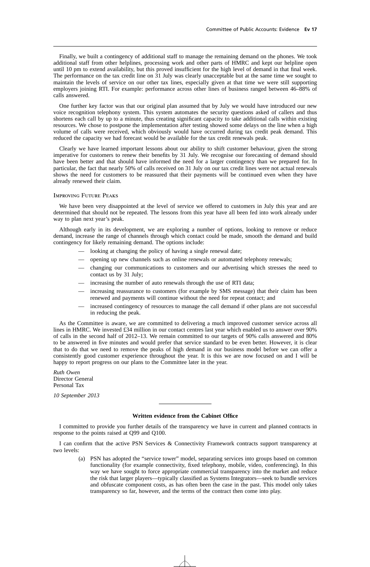Finally, we built a contingency of additional staff to manage the remaining demand on the phones. We took additional staff from other helplines, processing work and other parts of HMRC and kept our helpline open until 10 pm to extend availability, but this proved insufficient for the high level of demand in that final week. The performance on the tax credit line on 31 July was clearly unacceptable but at the same time we sought to maintain the levels of service on our other tax lines, especially given at that time we were still supporting employers joining RTI. For example: performance across other lines of business ranged between 46–88% of calls answered.

One further key factor was that our original plan assumed that by July we would have introduced our new voice recognition telephony system. This system automates the security questions asked of callers and thus shortens each call by up to a minute, thus creating significant capacity to take additional calls within existing resources. We chose to postpone the implementation after testing showed some delays on the line when a high volume of calls were received, which obviously would have occurred during tax credit peak demand. This reduced the capacity we had forecast would be available for the tax credit renewals peak.

Clearly we have learned important lessons about our ability to shift customer behaviour, given the strong imperative for customers to renew their benefits by 31 July. We recognise our forecasting of demand should have been better and that should have informed the need for a larger contingency than we prepared for. In particular, the fact that nearly 50% of calls received on 31 July on our tax credit lines were not actual renewals shows the need for customers to be reassured that their payments will be continued even when they have already renewed their claim.

#### Improving Future Peaks

We have been very disappointed at the level of service we offered to customers in July this year and are determined that should not be repeated. The lessons from this year have all been fed into work already under way to plan next year's peak.

Although early in its development, we are exploring a number of options, looking to remove or reduce demand, increase the range of channels through which contact could be made, smooth the demand and build contingency for likely remaining demand. The options include:

- looking at changing the policy of having a single renewal date;
- opening up new channels such as online renewals or automated telephony renewals;
- changing our communications to customers and our advertising which stresses the need to contact us by 31 July;
- increasing the number of auto renewals through the use of RTI data;
- increasing reassurance to customers (for example by SMS message) that their claim has been renewed and payments will continue without the need for repeat contact; and
- increased contingency of resources to manage the call demand if other plans are not successful in reducing the peak.

As the Committee is aware, we are committed to delivering a much improved customer service across all lines in HMRC. We invested £34 million in our contact centres last year which enabled us to answer over 90% of calls in the second half of 2012–13. We remain committed to our targets of 90% calls answered and 80% to be answered in five minutes and would prefer that service standard to be even better. However, it is clear that to do that we need to remove the peaks of high demand in our business model before we can offer a consistently good customer experience throughout the year. It is this we are now focused on and I will be happy to report progress on our plans to the Committee later in the year.

*Ruth Owen* Director General Personal Tax

*10 September 2013*

#### **Written evidence from the Cabinet Office**

I committed to provide you further details of the transparency we have in current and planned contracts in response to the points raised at Q99 and Q100.

I can confirm that the active PSN Services & Connectivity Framework contracts support transparency at two levels:

(a) PSN has adopted the "service tower" model, separating services into groups based on common functionality (for example connectivity, fixed telephony, mobile, video, conferencing). In this way we have sought to force appropriate commercial transparency into the market and reduce the risk that larger players—typically classified as Systems Integrators—seek to bundle services and obfuscate component costs, as has often been the case in the past. This model only takes transparency so far, however, and the terms of the contract then come into play.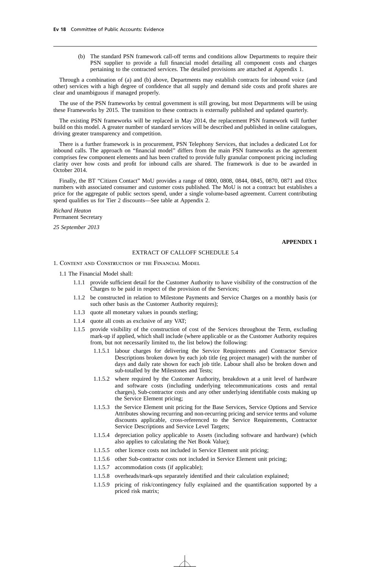(b) The standard PSN framework call-off terms and conditions allow Departments to require their PSN supplier to provide a full financial model detailing all component costs and charges pertaining to the contracted services. The detailed provisions are attached at Appendix 1.

Through a combination of (a) and (b) above, Departments may establish contracts for inbound voice (and other) services with a high degree of confidence that all supply and demand side costs and profit shares are clear and unambiguous if managed properly.

The use of the PSN frameworks by central government is still growing, but most Departments will be using these Frameworks by 2015. The transition to these contracts is externally published and updated quarterly.

The existing PSN frameworks will be replaced in May 2014, the replacement PSN framework will further build on this model. A greater number of standard services will be described and published in online catalogues, driving greater transparency and competition.

There is a further framework is in procurement, PSN Telephony Services, that includes a dedicated Lot for inbound calls. The approach on "financial model" differs from the main PSN frameworks as the agreement comprises few component elements and has been crafted to provide fully granular component pricing including clarity over how costs and profit for inbound calls are shared. The framework is due to be awarded in October 2014.

Finally, the BT "Citizen Contact" MoU provides a range of 0800, 0808, 0844, 0845, 0870, 0871 and 03xx numbers with associated consumer and customer costs published. The MoU is not a contract but establishes a price for the aggregate of public sectors spend, under a single volume-based agreement. Current contributing spend qualifies us for Tier 2 discounts—See table at Appendix 2.

*Richard Heaton* Permanent Secretary

*25 September 2013*

# **APPENDIX 1**

## EXTRACT OF CALLOFF SCHEDULE 5.4

- 1. Content and Construction of the Financial Model
	- 1.1 The Financial Model shall:
		- 1.1.1 provide sufficient detail for the Customer Authority to have visibility of the construction of the Charges to be paid in respect of the provision of the Services;
		- 1.1.2 be constructed in relation to Milestone Payments and Service Charges on a monthly basis (or such other basis as the Customer Authority requires);
		- 1.1.3 quote all monetary values in pounds sterling;
		- 1.1.4 quote all costs as exclusive of any VAT;
		- 1.1.5 provide visibility of the construction of cost of the Services throughout the Term, excluding mark-up if applied, which shall include (where applicable or as the Customer Authority requires from, but not necessarily limited to, the list below) the following:
			- 1.1.5.1 labour charges for delivering the Service Requirements and Contractor Service Descriptions broken down by each job title (eg project manager) with the number of days and daily rate shown for each job title. Labour shall also be broken down and sub-totalled by the Milestones and Tests;
			- 1.1.5.2 where required by the Customer Authority, breakdown at a unit level of hardware and software costs (including underlying telecommunications costs and rental charges), Sub-contractor costs and any other underlying identifiable costs making up the Service Element pricing;
			- 1.1.5.3 the Service Element unit pricing for the Base Services, Service Options and Service Attributes showing recurring and non-recurring pricing and service terms and volume discounts applicable, cross-referenced to the Service Requirements, Contractor Service Descriptions and Service Level Targets;
			- 1.1.5.4 depreciation policy applicable to Assets (including software and hardware) (which also applies to calculating the Net Book Value);
			- 1.1.5.5 other licence costs not included in Service Element unit pricing;
			- 1.1.5.6 other Sub-contractor costs not included in Service Element unit pricing;
			- 1.1.5.7 accommodation costs (if applicable);
			- 1.1.5.8 overheads/mark-ups separately identified and their calculation explained;
			- 1.1.5.9 pricing of risk/contingency fully explained and the quantification supported by a priced risk matrix;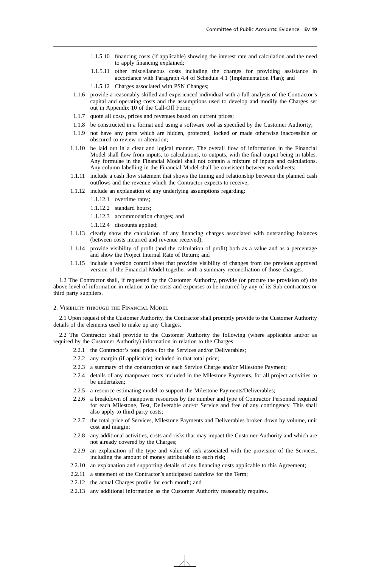- 1.1.5.10 financing costs (if applicable) showing the interest rate and calculation and the need to apply financing explained;
- 1.1.5.11 other miscellaneous costs including the charges for providing assistance in accordance with Paragraph 4.4 of Schedule 4.1 (Implementation Plan); and
- 1.1.5.12 Charges associated with PSN Changes;
- 1.1.6 provide a reasonably skilled and experienced individual with a full analysis of the Contractor's capital and operating costs and the assumptions used to develop and modify the Charges set out in Appendix 10 of the Call-Off Form;
- 1.1.7 quote all costs, prices and revenues based on current prices;
- 1.1.8 be constructed in a format and using a software tool as specified by the Customer Authority;
- 1.1.9 not have any parts which are hidden, protected, locked or made otherwise inaccessible or obscured to review or alteration;
- 1.1.10 be laid out in a clear and logical manner. The overall flow of information in the Financial Model shall flow from inputs, to calculations, to outputs, with the final output being in tables. Any formulae in the Financial Model shall not contain a mixture of inputs and calculations. Any column labelling in the Financial Model shall be consistent between worksheets;
- 1.1.11 include a cash flow statement that shows the timing and relationship between the planned cash outflows and the revenue which the Contractor expects to receive;
- 1.1.12 include an explanation of any underlying assumptions regarding:
	- 1.1.12.1 overtime rates;
	- 1.1.12.2 standard hours;
	- 1.1.12.3 accommodation charges; and
	- 1.1.12.4 discounts applied;
- 1.1.13 clearly show the calculation of any financing charges associated with outstanding balances (between costs incurred and revenue received);
- 1.1.14 provide visibility of profit (and the calculation of profit) both as a value and as a percentage and show the Project Internal Rate of Return; and
- 1.1.15 include a version control sheet that provides visibility of changes from the previous approved version of the Financial Model together with a summary reconciliation of those changes.

1.2 The Contractor shall, if requested by the Customer Authority, provide (or procure the provision of) the above level of information in relation to the costs and expenses to be incurred by any of its Sub-contractors or third party suppliers.

#### 2. Visibility through the Financial Model

2.1 Upon request of the Customer Authority, the Contractor shall promptly provide to the Customer Authority details of the elements used to make up any Charges.

2.2 The Contractor shall provide to the Customer Authority the following (where applicable and/or as required by the Customer Authority) information in relation to the Charges:

- 2.2.1 the Contractor's total prices for the Services and/or Deliverables;
- 2.2.2 any margin (if applicable) included in that total price;
- 2.2.3 a summary of the construction of each Service Charge and/or Milestone Payment;
- 2.2.4 details of any manpower costs included in the Milestone Payments, for all project activities to be undertaken;
- 2.2.5 a resource estimating model to support the Milestone Payments/Deliverables;
- 2.2.6 a breakdown of manpower resources by the number and type of Contractor Personnel required for each Milestone, Test, Deliverable and/or Service and free of any contingency. This shall also apply to third party costs;
- 2.2.7 the total price of Services, Milestone Payments and Deliverables broken down by volume, unit cost and margin;
- 2.2.8 any additional activities, costs and risks that may impact the Customer Authority and which are not already covered by the Charges;
- 2.2.9 an explanation of the type and value of risk associated with the provision of the Services, including the amount of money attributable to each risk;
- 2.2.10 an explanation and supporting details of any financing costs applicable to this Agreement;
- 2.2.11 a statement of the Contractor's anticipated cashflow for the Term;
- 2.2.12 the actual Charges profile for each month; and
- 2.2.13 any additional information as the Customer Authority reasonably requires.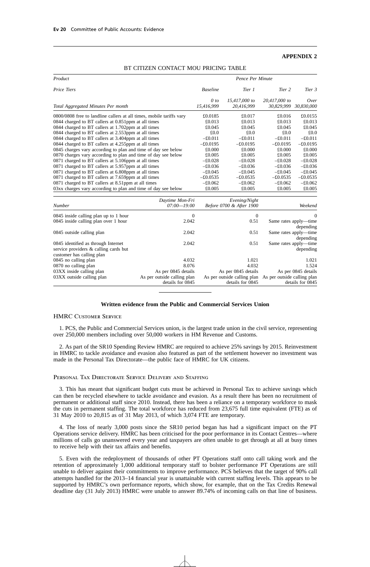## **APPENDIX 2**

| Product                                                              |                             |                 | Pence Per Minute            |                             |                       |
|----------------------------------------------------------------------|-----------------------------|-----------------|-----------------------------|-----------------------------|-----------------------|
| Price Tiers                                                          |                             | <b>Baseline</b> | Tier 1                      | Tier 2                      | Tier 3                |
|                                                                      |                             | 0 to            | 15,417,000 to               | 20,417,000 to               | Over                  |
| Total Aggregated Minutes Per month                                   |                             | 15,416,999      | 20,416,999                  |                             | 30,829,999 30,830,000 |
| 0800/0808 free to landline callers at all times, mobile tariffs vary |                             | £0.0185         | £0.017                      | £0.016                      | £0.0155               |
| 0844 charged to BT callers at 0.851ppm at all times                  |                             | £0.013          | £0.013                      | £0.013                      | £0.013                |
| 0844 charged to BT callers at 1.702ppm at all times                  |                             | £0.045          | £0.045                      | £0.045                      | £0.045                |
| 0844 charged to BT callers at 2.553ppm at all times                  |                             | £0.0            | £0.0                        | £0.0                        | £0.0                  |
| 0844 charged to BT callers at 3.404ppm at all times                  |                             | $-£0.011$       | $-£0.011$                   | $-£0.011$                   | $-£0.011$             |
| 0844 charged to BT callers at 4.255ppm at all times                  |                             | $-£0.0195$      | $-£0.0195$                  | $-£0.0195$                  | $-£0.0195$            |
| 0845 charges vary according to plan and time of day see below        |                             | £0.000          | £0.000                      | £0.000                      | £0.000                |
| 0870 charges vary according to plan and time of day see below        |                             | £0.005          | £0.005                      | £0.005                      | £0.005                |
| 0871 charged to BT callers at 5.106ppm at all times                  |                             | $-£0.028$       | $-£0.028$                   | $-£0.028$                   | $-£0.028$             |
| 0871 charged to BT callers at 5.957ppm at all times                  |                             | $-£0.036$       | $-£0.036$                   | $-£0.036$                   | $-£0.036$             |
| 0871 charged to BT callers at 6.808ppm at all times                  |                             | $-£0.045$       | $-£0.045$                   | $-£0.045$                   | $-£0.045$             |
| 0871 charged to BT callers at 7.659ppm at all times                  |                             | $-£0.0535$      | $-£0.0535$                  | $-£0.0535$                  | $-£0.0535$            |
| 0871 charged to BT callers at 8.51ppm at all times                   |                             | $-£0.062$       | $-£0.062$                   | $-£0.062$                   | $-£0.062$             |
| 03xx charges vary according to plan and time of day see below        |                             | £0.005          | £0.005                      | £0.005                      | £0.005                |
|                                                                      | Daytime Mon-Fri             |                 | Evening/Night               |                             |                       |
| <b>Number</b>                                                        | $07:00 - 19:00$             |                 | Before 0700 & After 1900    |                             | Weekend               |
| 0845 inside calling plan up to 1 hour                                | $\theta$                    |                 | $\theta$                    |                             | $\overline{0}$        |
| 0845 inside calling plan over 1 hour                                 | 2.042                       |                 | 0.51                        |                             | Same rates apply—time |
|                                                                      |                             |                 |                             |                             | depending             |
| 0845 outside calling plan                                            | 2.042                       |                 | 0.51                        |                             | Same rates apply-time |
|                                                                      |                             |                 |                             |                             | depending             |
| 0845 identified as through Internet                                  | 2.042                       |                 | 0.51                        |                             | Same rates apply—time |
| service providers & calling cards but                                |                             |                 |                             |                             | depending             |
| customer has calling plan                                            |                             |                 |                             |                             |                       |
| 0845 no calling plan                                                 | 4.032                       |                 | 1.021                       |                             | 1.021                 |
| 0870 no calling plan                                                 | 8.076                       |                 | 4.032                       |                             | 1.524                 |
| 03XX inside calling plan                                             | As per 0845 details         |                 | As per 0845 details         |                             | As per 0845 details   |
| 03XX outside calling plan                                            | As per outside calling plan |                 | As per outside calling plan | As per outside calling plan |                       |
|                                                                      | details for 0845            |                 | details for 0845            |                             | details for 0845      |

# BT CITIZEN CONTACT MOU PRICING TABLE

# **Written evidence from the Public and Commercial Services Union**

### HMRC Customer Service

1. PCS, the Public and Commercial Services union, is the largest trade union in the civil service, representing over 250,000 members including over 50,000 workers in HM Revenue and Customs.

2. As part of the SR10 Spending Review HMRC are required to achieve 25% savings by 2015. Reinvestment in HMRC to tackle avoidance and evasion also featured as part of the settlement however no investment was made in the Personal Tax Directorate—the public face of HMRC for UK citizens.

#### Personal Tax Directorate Service Delivery and Staffing

3. This has meant that significant budget cuts must be achieved in Personal Tax to achieve savings which can then be recycled elsewhere to tackle avoidance and evasion. As a result there has been no recruitment of permanent or additional staff since 2010. Instead, there has been a reliance on a temporary workforce to mask the cuts in permanent staffing. The total workforce has reduced from 23,675 full time equivalent (FTE) as of 31 May 2010 to 20,815 as of 31 May 2013, of which 3,074 FTE are temporary.

4. The loss of nearly 3,000 posts since the SR10 period began has had a significant impact on the PT Operations service delivery. HMRC has been criticised for the poor performance in its Contact Centres—where millions of calls go unanswered every year and taxpayers are often unable to get through at all at busy times to receive help with their tax affairs and benefits.

5. Even with the redeployment of thousands of other PT Operations staff onto call taking work and the retention of approximately 1,000 additional temporary staff to bolster performance PT Operations are still unable to deliver against their commitments to improve performance. PCS believes that the target of 90% call attempts handled for the 2013–14 financial year is unattainable with current staffing levels. This appears to be supported by HMRC's own performance reports, which show, for example, that on the Tax Credits Renewal deadline day (31 July 2013) HMRC were unable to answer 89.74% of incoming calls on that line of business.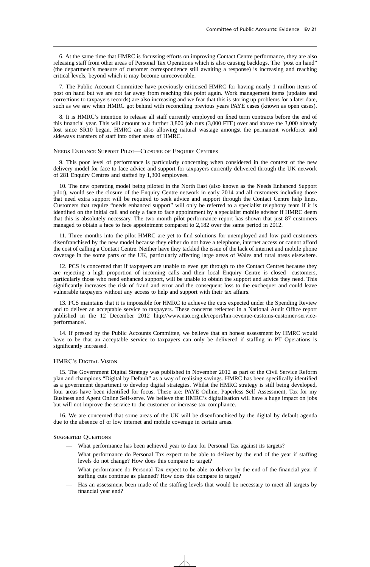6. At the same time that HMRC is focussing efforts on improving Contact Centre performance, they are also releasing staff from other areas of Personal Tax Operations which is also causing backlogs. The "post on hand" (the department's measure of customer correspondence still awaiting a response) is increasing and reaching critical levels, beyond which it may become unrecoverable.

7. The Public Account Committee have previously criticised HMRC for having nearly 1 million items of post on hand but we are not far away from reaching this point again. Work management items (updates and corrections to taxpayers records) are also increasing and we fear that this is storing up problems for a later date, such as we saw when HMRC got behind with reconciling previous years PAYE cases (known as open cases).

8. It is HMRC's intention to release all staff currently employed on fixed term contracts before the end of this financial year. This will amount to a further 3,800 job cuts (3,000 FTE) over and above the 3,000 already lost since SR10 began. HMRC are also allowing natural wastage amongst the permanent workforce and sideways transfers of staff into other areas of HMRC.

#### Needs Enhance Support Pilot—Closure of Enquiry Centres

9. This poor level of performance is particularly concerning when considered in the context of the new delivery model for face to face advice and support for taxpayers currently delivered through the UK network of 281 Enquiry Centres and staffed by 1,300 employees.

10. The new operating model being piloted in the North East (also known as the Needs Enhanced Support pilot), would see the closure of the Enquiry Centre network in early 2014 and all customers including those that need extra support will be required to seek advice and support through the Contact Centre help lines. Customers that require "needs enhanced support" will only be referred to a specialist telephony team if it is identified on the initial call and only a face to face appointment by a specialist mobile advisor if HMRC deem that this is absolutely necessary. The two month pilot performance report has shown that just 87 customers managed to obtain a face to face appointment compared to 2,182 over the same period in 2012.

11. Three months into the pilot HMRC are yet to find solutions for unemployed and low paid customers disenfranchised by the new model because they either do not have a telephone, internet access or cannot afford the cost of calling a Contact Centre. Neither have they tackled the issue of the lack of internet and mobile phone coverage in the some parts of the UK, particularly affecting large areas of Wales and rural areas elsewhere.

12. PCS is concerned that if taxpayers are unable to even get through to the Contact Centres because they are rejecting a high proportion of incoming calls and their local Enquiry Centre is closed—customers, particularly those who need enhanced support, will be unable to obtain the support and advice they need. This significantly increases the risk of fraud and error and the consequent loss to the exchequer and could leave vulnerable taxpayers without any access to help and support with their tax affairs.

13. PCS maintains that it is impossible for HMRC to achieve the cuts expected under the Spending Review and to deliver an acceptable service to taxpayers. These concerns reflected in a National Audit Office report published in the 12 December 2012 http://www.nao.org.uk/report/hm-revenue-customs-customer-serviceperformance/.

14. If pressed by the Public Accounts Committee, we believe that an honest assessment by HMRC would have to be that an acceptable service to taxpayers can only be delivered if staffing in PT Operations is significantly increased.

# HMRC's Digital Vision

15. The Government Digital Strategy was published in November 2012 as part of the Civil Service Reform plan and champions "Digital by Default" as a way of realising savings. HMRC has been specifically identified as a government department to develop digital strategies. Whilst the HMRC strategy is still being developed, four areas have been identified for focus. These are: PAYE Online, Paperless Self Assessment, Tax for my Business and Agent Online Self-serve. We believe that HMRC's digitalisation will have a huge impact on jobs but will not improve the service to the customer or increase tax compliance.

16. We are concerned that some areas of the UK will be disenfranchised by the digital by default agenda due to the absence of or low internet and mobile coverage in certain areas.

# Suggested Questions

- What performance has been achieved year to date for Personal Tax against its targets?
- What performance do Personal Tax expect to be able to deliver by the end of the year if staffing levels do not change? How does this compare to target?
- What performance do Personal Tax expect to be able to deliver by the end of the financial year if staffing cuts continue as planned? How does this compare to target?
- Has an assessment been made of the staffing levels that would be necessary to meet all targets by financial year end?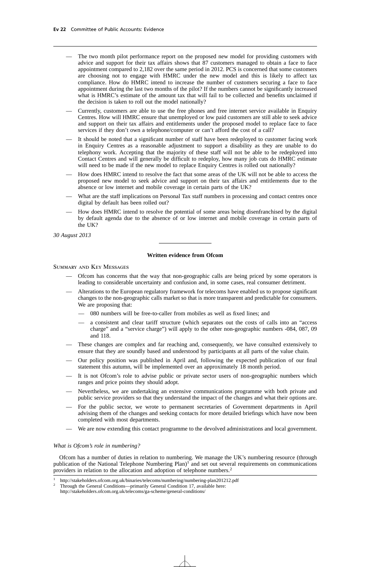- The two month pilot performance report on the proposed new model for providing customers with advice and support for their tax affairs shows that 87 customers managed to obtain a face to face appointment compared to 2,182 over the same period in 2012. PCS is concerned that some customers are choosing not to engage with HMRC under the new model and this is likely to affect tax compliance. How do HMRC intend to increase the number of customers securing a face to face appointment during the last two months of the pilot? If the numbers cannot be significantly increased what is HMRC's estimate of the amount tax that will fail to be collected and benefits unclaimed if the decision is taken to roll out the model nationally?
- Currently, customers are able to use the free phones and free internet service available in Enquiry Centres. How will HMRC ensure that unemployed or low paid customers are still able to seek advice and support on their tax affairs and entitlements under the proposed model to replace face to face services if they don't own a telephone/computer or can't afford the cost of a call?
- It should be noted that a significant number of staff have been redeployed to customer facing work in Enquiry Centres as a reasonable adjustment to support a disability as they are unable to do telephony work. Accepting that the majority of these staff will not be able to be redeployed into Contact Centres and will generally be difficult to redeploy, how many job cuts do HMRC estimate will need to be made if the new model to replace Enquiry Centres is rolled out nationally?
- How does HMRC intend to resolve the fact that some areas of the UK will not be able to access the proposed new model to seek advice and support on their tax affairs and entitlements due to the absence or low internet and mobile coverage in certain parts of the UK?
- What are the staff implications on Personal Tax staff numbers in processing and contact centres once digital by default has been rolled out?
- How does HMRC intend to resolve the potential of some areas being disenfranchised by the digital by default agenda due to the absence of or low internet and mobile coverage in certain parts of the UK?

*30 August 2013*

#### **Written evidence from Ofcom**

#### Summary and Key Messages

- Ofcom has concerns that the way that non-geographic calls are being priced by some operators is leading to considerable uncertainty and confusion and, in some cases, real consumer detriment.
- Alterations to the European regulatory framework for telecoms have enabled us to propose significant changes to the non-geographic calls market so that is more transparent and predictable for consumers. We are proposing that:
	- 080 numbers will be free-to-caller from mobiles as well as fixed lines; and
	- a consistent and clear tariff structure (which separates out the costs of calls into an "access charge" and a "service charge") will apply to the other non-geographic numbers -084, 087, 09 and 118.
- These changes are complex and far reaching and, consequently, we have consulted extensively to ensure that they are soundly based and understood by participants at all parts of the value chain.
- Our policy position was published in April and, following the expected publication of our final statement this autumn, will be implemented over an approximately 18 month period.
- It is not Ofcom's role to advise public or private sector users of non-geographic numbers which ranges and price points they should adopt.
- Nevertheless, we are undertaking an extensive communications programme with both private and public service providers so that they understand the impact of the changes and what their options are.
- For the public sector, we wrote to permanent secretaries of Government departments in April advising them of the changes and seeking contacts for more detailed briefings which have now been completed with most departments.
- We are now extending this contact programme to the devolved administrations and local government.

### *What is Ofcom's role in numbering?*

Ofcom has a number of duties in relation to numbering. We manage the UK's numbering resource (through publication of the National Telephone Numbering Plan)<sup>1</sup> and set out several requirements on communications providers in relation to the allocation and adoption of telephone numbers.<sup>2</sup>

<sup>&</sup>lt;sup>1</sup> http://stakeholders.ofcom.org.uk/binaries/telecoms/numbering/numbering-plan201212.pdf<br><sup>2</sup> Through the General Conditions primarily General Condition 17 evailable hara:

<sup>2</sup> Through the General Conditions—primarily General Condition 17, available here:

http://stakeholders.ofcom.org.uk/telecoms/ga-scheme/general-conditions/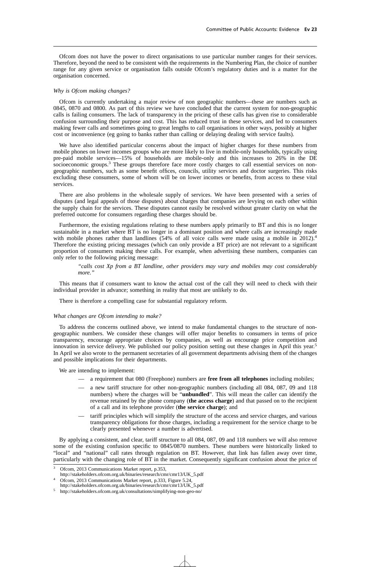Ofcom does not have the power to direct organisations to use particular number ranges for their services. Therefore, beyond the need to be consistent with the requirements in the Numbering Plan, the choice of number range for any given service or organisation falls outside Ofcom's regulatory duties and is a matter for the organisation concerned.

#### *Why is Ofcom making changes?*

Ofcom is currently undertaking a major review of non geographic numbers—these are numbers such as 0845, 0870 and 0800. As part of this review we have concluded that the current system for non-geographic calls is failing consumers. The lack of transparency in the pricing of these calls has given rise to considerable confusion surrounding their purpose and cost. This has reduced trust in these services, and led to consumers making fewer calls and sometimes going to great lengths to call organisations in other ways, possibly at higher cost or inconvenience (eg going to banks rather than calling or delaying dealing with service faults).

We have also identified particular concerns about the impact of higher charges for these numbers from mobile phones on lower incomes groups who are more likely to live in mobile-only households, typically using pre-paid mobile services—15% of households are mobile-only and this increases to 26% in the DE socioeconomic groups.<sup>3</sup> These groups therefore face more costly charges to call essential services on nongeographic numbers, such as some benefit offices, councils, utility services and doctor surgeries. This risks excluding these consumers, some of whom will be on lower incomes or benefits, from access to these vital services.

There are also problems in the wholesale supply of services. We have been presented with a series of disputes (and legal appeals of those disputes) about charges that companies are levying on each other within the supply chain for the services. These disputes cannot easily be resolved without greater clarity on what the preferred outcome for consumers regarding these charges should be.

Furthermore, the existing regulations relating to these numbers apply primarily to BT and this is no longer sustainable in a market where BT is no longer in a dominant position and where calls are increasingly made with mobile phones rather than landlines (54% of all voice calls were made using a mobile in 2012).<sup>4</sup> Therefore the existing pricing messages (which can only provide a BT price) are not relevant to a significant proportion of consumers making these calls. For example, when advertising these numbers, companies can only refer to the following pricing message:

*"calls cost Xp from a BT landline, other providers may vary and mobiles may cost considerably more."*

This means that if consumers want to know the actual cost of the call they will need to check with their individual provider in advance; something in reality that most are unlikely to do.

There is therefore a compelling case for substantial regulatory reform.

#### *What changes are Ofcom intending to make?*

To address the concerns outlined above, we intend to make fundamental changes to the structure of nongeographic numbers. We consider these changes will offer major benefits to consumers in terms of price transparency, encourage appropriate choices by companies, as well as encourage price competition and innovation in service delivery. We published our policy position setting out these changes in April this year.<sup>5</sup> In April we also wrote to the permanent secretaries of all government departments advising them of the changes and possible implications for their departments.

We are intending to implement:

- a requirement that 080 (Freephone) numbers are **free from all telephones** including mobiles;
- a new tariff structure for other non-geographic numbers (including all 084, 087, 09 and 118 numbers) where the charges will be "**unbundled**". This will mean the caller can identify the revenue retained by the phone company (**the access charge**) and that passed on to the recipient of a call and its telephone provider (**the service charge**); and
- tariff principles which will simplify the structure of the access and service charges, and various transparency obligations for those charges, including a requirement for the service charge to be clearly presented whenever a number is advertised.

By applying a consistent, and clear, tariff structure to all 084, 087, 09 and 118 numbers we will also remove some of the existing confusion specific to 0845/0870 numbers. These numbers were historically linked to "local" and "national" call rates through regulation on BT. However, that link has fallen away over time, particularly with the changing role of BT in the market. Consequently significant confusion about the price of

Ofcom, 2013 Communications Market report, p.353,

http://stakeholders.ofcom.org.uk/binaries/research/cmr/cmr13/UK\_5.pdf

Ofcom, 2013 Communications Market report, p.333, Figure 5.24,

http://stakeholders.ofcom.org.uk/binaries/research/cmr/cmr13/UK\_5.pdf

<sup>5</sup> http://stakeholders.ofcom.org.uk/consultations/simplifying-non-geo-no/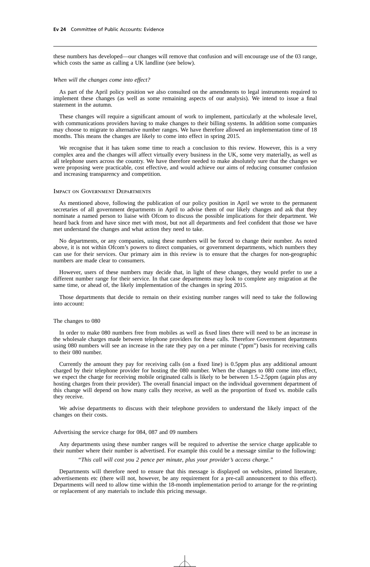these numbers has developed—our changes will remove that confusion and will encourage use of the 03 range, which costs the same as calling a UK landline (see below).

#### *When will the changes come into effect?*

As part of the April policy position we also consulted on the amendments to legal instruments required to implement these changes (as well as some remaining aspects of our analysis). We intend to issue a final statement in the autumn.

These changes will require a significant amount of work to implement, particularly at the wholesale level, with communications providers having to make changes to their billing systems. In addition some companies may choose to migrate to alternative number ranges. We have therefore allowed an implementation time of 18 months. This means the changes are likely to come into effect in spring 2015.

We recognise that it has taken some time to reach a conclusion to this review. However, this is a very complex area and the changes will affect virtually every business in the UK, some very materially, as well as all telephone users across the country. We have therefore needed to make absolutely sure that the changes we were proposing were practicable, cost effective, and would achieve our aims of reducing consumer confusion and increasing transparency and competition.

#### Impact on Government Departments

As mentioned above, following the publication of our policy position in April we wrote to the permanent secretaries of all government departments in April to advise them of our likely changes and ask that they nominate a named person to liaise with Ofcom to discuss the possible implications for their department. We heard back from and have since met with most, but not all departments and feel confident that those we have met understand the changes and what action they need to take.

No departments, or any companies, using these numbers will be forced to change their number. As noted above, it is not within Ofcom's powers to direct companies, or government departments, which numbers they can use for their services. Our primary aim in this review is to ensure that the charges for non-geographic numbers are made clear to consumers.

However, users of these numbers may decide that, in light of these changes, they would prefer to use a different number range for their service. In that case departments may look to complete any migration at the same time, or ahead of, the likely implementation of the changes in spring 2015.

Those departments that decide to remain on their existing number ranges will need to take the following into account:

#### The changes to 080

In order to make 080 numbers free from mobiles as well as fixed lines there will need to be an increase in the wholesale charges made between telephone providers for these calls. Therefore Government departments using 080 numbers will see an increase in the rate they pay on a per minute ("ppm") basis for receiving calls to their 080 number.

Currently the amount they pay for receiving calls (on a fixed line) is 0.5ppm plus any additional amount charged by their telephone provider for hosting the 080 number. When the changes to 080 come into effect, we expect the charge for receiving mobile originated calls is likely to be between 1.5–2.5ppm (again plus any hosting charges from their provider). The overall financial impact on the individual government department of this change will depend on how many calls they receive, as well as the proportion of fixed vs. mobile calls they receive.

We advise departments to discuss with their telephone providers to understand the likely impact of the changes on their costs.

#### Advertising the service charge for 084, 087 and 09 numbers

Any departments using these number ranges will be required to advertise the service charge applicable to their number where their number is advertised. For example this could be a message similar to the following:

*"This call will cost you 2 pence per minute, plus your provider's access charge."*

Departments will therefore need to ensure that this message is displayed on websites, printed literature, advertisements etc (there will not, however, be any requirement for a pre-call announcement to this effect). Departments will need to allow time within the 18-month implementation period to arrange for the re-printing or replacement of any materials to include this pricing message.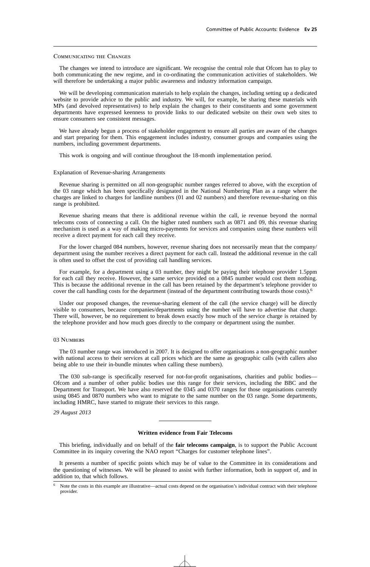#### COMMUNICATING THE CHANGES

The changes we intend to introduce are significant. We recognise the central role that Ofcom has to play to both communicating the new regime, and in co-ordinating the communication activities of stakeholders. We will therefore be undertaking a major public awareness and industry information campaign.

We will be developing communication materials to help explain the changes, including setting up a dedicated website to provide advice to the public and industry. We will, for example, be sharing these materials with MPs (and devolved representatives) to help explain the changes to their constituents and some government departments have expressed keenness to provide links to our dedicated website on their own web sites to ensure consumers see consistent messages.

We have already begun a process of stakeholder engagement to ensure all parties are aware of the changes and start preparing for them. This engagement includes industry, consumer groups and companies using the numbers, including government departments.

This work is ongoing and will continue throughout the 18-month implementation period.

#### Explanation of Revenue-sharing Arrangements

Revenue sharing is permitted on all non-geographic number ranges referred to above, with the exception of the 03 range which has been specifically designated in the National Numbering Plan as a range where the charges are linked to charges for landline numbers (01 and 02 numbers) and therefore revenue-sharing on this range is prohibited.

Revenue sharing means that there is additional revenue within the call, ie revenue beyond the normal telecoms costs of connecting a call. On the higher rated numbers such as 0871 and 09, this revenue sharing mechanism is used as a way of making micro-payments for services and companies using these numbers will receive a direct payment for each call they receive.

For the lower charged 084 numbers, however, revenue sharing does not necessarily mean that the company/ department using the number receives a direct payment for each call. Instead the additional revenue in the call is often used to offset the cost of providing call handling services.

For example, for a department using a 03 number, they might be paying their telephone provider 1.5ppm for each call they receive. However, the same service provided on a 0845 number would cost them nothing. This is because the additional revenue in the call has been retained by the department's telephone provider to cover the call handling costs for the department (instead of the department contributing towards those costs).<sup>6</sup>

Under our proposed changes, the revenue-sharing element of the call (the service charge) will be directly visible to consumers, because companies/departments using the number will have to advertise that charge. There will, however, be no requirement to break down exactly how much of the service charge is retained by the telephone provider and how much goes directly to the company or department using the number.

#### 03 Numbers

The 03 number range was introduced in 2007. It is designed to offer organisations a non-geographic number with national access to their services at call prices which are the same as geographic calls (with callers also being able to use their in-bundle minutes when calling these numbers).

The 030 sub-range is specifically reserved for not-for-profit organisations, charities and public bodies— Ofcom and a number of other public bodies use this range for their services, including the BBC and the Department for Transport. We have also reserved the 0345 and 0370 ranges for those organisations currently using 0845 and 0870 numbers who want to migrate to the same number on the 03 range. Some departments, including HMRC, have started to migrate their services to this range.

*29 August 2013*

#### **Written evidence from Fair Telecoms**

This briefing, individually and on behalf of the **fair telecoms campaign**, is to support the Public Account Committee in its inquiry covering the NAO report "Charges for customer telephone lines".

It presents a number of specific points which may be of value to the Committee in its considerations and the questioning of witnesses. We will be pleased to assist with further information, both in support of, and in addition to, that which follows.

Note the costs in this example are illustrative—actual costs depend on the organisation's individual contract with their telephone provider.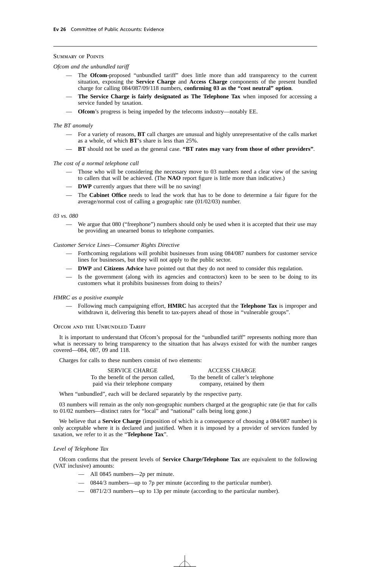# Summary of Points

#### *Ofcom and the unbundled tariff*

- The **Ofcom**-proposed "unbundled tariff" does little more than add transparency to the current situation, exposing the **Service Charge** and **Access Charge** components of the present bundled charge for calling 084/087/09/118 numbers, **confirming 03 as the "cost neutral" option**.
- **The Service Charge is fairly designated as The Telephone Tax** when imposed for accessing a service funded by taxation.
- **Ofcom**'s progress is being impeded by the telecoms industry—notably EE.

# *The BT anomaly*

- For a variety of reasons, **BT** call charges are unusual and highly unrepresentative of the calls market as a whole, of which **BT**'s share is less than 25%.
- **BT** should not be used as the general case. **"BT rates may vary from those of other providers"**.

#### *The cost of a normal telephone call*

- Those who will be considering the necessary move to 03 numbers need a clear view of the saving to callers that will be achieved. (The **NAO** report figure is little more than indicative.)
- **DWP** currently argues that there will be no saving!
- The **Cabinet Office** needs to lead the work that has to be done to determine a fair figure for the average/normal cost of calling a geographic rate (01/02/03) number.

#### *03 vs. 080*

— We argue that 080 ("freephone") numbers should only be used when it is accepted that their use may be providing an unearned bonus to telephone companies.

#### *Customer Service Lines—Consumer Rights Directive*

- Forthcoming regulations will prohibit businesses from using 084/087 numbers for customer service lines for businesses, but they will not apply to the public sector.
- **DWP** and **Citizens Advice** have pointed out that they do not need to consider this regulation.
- Is the government (along with its agencies and contractors) keen to be seen to be doing to its customers what it prohibits businesses from doing to theirs?

### *HMRC as a positive example*

— Following much campaigning effort, **HMRC** has accepted that the **Telephone Tax** is improper and withdrawn it, delivering this benefit to tax-payers ahead of those in "vulnerable groups".

#### OFCOM AND THE UNBUNDLED TARIFF

It is important to understand that Ofcom's proposal for the "unbundled tariff" represents nothing more than what is necessary to bring transparency to the situation that has always existed for with the number ranges covered—084, 087, 09 and 118.

Charges for calls to these numbers consist of two elements:

| <b>SERVICE CHARGE</b>                | <b>ACCESS CHARGE</b>                 |
|--------------------------------------|--------------------------------------|
| To the benefit of the person called, | To the benefit of caller's telephone |
| paid via their telephone company     | company, retained by them            |

When "unbundled", each will be declared separately by the respective party.

03 numbers will remain as the only non-geographic numbers charged at the geographic rate (ie that for calls to 01/02 numbers—distinct rates for "local" and "national" calls being long gone.)

We believe that a **Service Charge** (imposition of which is a consequence of choosing a 084/087 number) is only acceptable where it is declared and justified. When it is imposed by a provider of services funded by taxation, we refer to it as the "**Telephone Tax**".

#### *Level of Telephone Tax*

Ofcom confirms that the present levels of **Service Charge/Telephone Tax** are equivalent to the following (VAT inclusive) amounts:

- All 0845 numbers—2p per minute.
- 0844/3 numbers—up to 7p per minute (according to the particular number).
- 0871/2/3 numbers—up to 13p per minute (according to the particular number).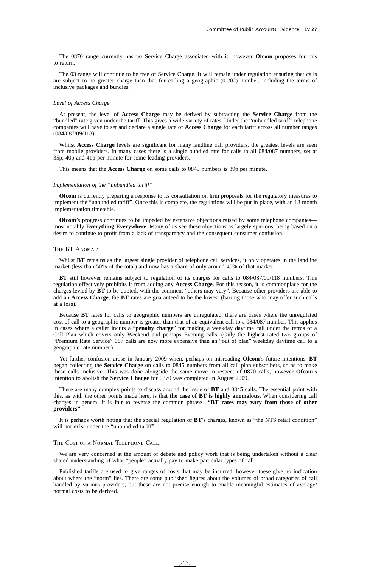The 0870 range currently has no Service Charge associated with it, however **Ofcom** proposes for this to return.

The 03 range will continue to be free of Service Charge. It will remain under regulation ensuring that calls are subject to no greater charge than that for calling a geographic  $(01/02)$  number, including the terms of inclusive packages and bundles.

# *Level of Access Charge*

At present, the level of **Access Charge** may be derived by subtracting the **Service Charge** from the "bundled" rate given under the tariff. This gives a wide variety of rates. Under the "unbundled tariff" telephone companies will have to set and declare a single rate of **Access Charge** for each tariff across all number ranges (084/087/09/118).

Whilst **Access Charge** levels are significant for many landline call providers, the greatest levels are seen from mobile providers. In many cases there is a single bundled rate for calls to all 084/087 numbers, set at 35p, 40p and 41p per minute for some leading providers.

This means that the **Access Charge** on some calls to 0845 numbers is 39p per minute.

#### *Implementation of the "unbundled tariff"*

**Ofcom** is currently preparing a response to its consultation on firm proposals for the regulatory measures to implement the "unbundled tariff". Once this is complete, the regulations will be put in place, with an 18 month implementation timetable.

**Ofcom**'s progress continues to be impeded by extensive objections raised by some telephone companies most notably **Everything Everywhere**. Many of us see these objections as largely spurious, being based on a desire to continue to profit from a lack of transparency and the consequent consumer confusion.

#### The BT Anomaly

Whilst **BT** remains as the largest single provider of telephone call services, it only operates in the landline market (less than 50% of the total) and now has a share of only around 40% of that market.

**BT** still however remains subject to regulation of its charges for calls to 084/087/09/118 numbers. This regulation effectively prohibits it from adding any **Access Charge**. For this reason, it is commonplace for the charges levied by **BT** to be quoted, with the comment "others may vary". Because other providers are able to add an **Access Charge**, the **BT** rates are guaranteed to be the lowest (barring those who may offer such calls at a loss).

Because **BT** rates for calls to geographic numbers are unregulated, there are cases where the unregulated cost of call to a geographic number is greater than that of an equivalent call to a 084/087 number. This applies in cases where a caller incurs a "**penalty charge**" for making a weekday daytime call under the terms of a Call Plan which covers only Weekend and perhaps Evening calls. (Only the highest rated two groups of "Premium Rate Service" 087 calls are now more expensive than an "out of plan" weekday daytime call to a geographic rate number.)

Yet further confusion arose in January 2009 when, perhaps on misreading **Ofcom**'s future intentions, **BT** began collecting the **Service Charge** on calls to 0845 numbers from all call plan subscribers, so as to make these calls inclusive. This was done alongside the same move in respect of 0870 calls, however **Ofcom**'s intention to abolish the **Service Charge** for 0870 was completed in August 2009.

There are many complex points to discuss around the issue of **BT** and 0845 calls. The essential point with this, as with the other points made here, is that **the case of BT is highly anomalous**. When considering call charges in general it is fair to reverse the common phrase—**"BT rates may vary from those of other providers"**.

It is perhaps worth noting that the special regulation of **BT**'s charges, known as "the NTS retail condition" will not exist under the "unbundled tariff".

#### The Cost of a Normal Telephone Call

We are very concerned at the amount of debate and policy work that is being undertaken without a clear shared understanding of what "people" actually pay to make particular types of call.

Published tariffs are used to give ranges of costs that may be incurred, however these give no indication about where the "norm" lies. There are some published figures about the volumes of broad categories of call handled by various providers, but these are not precise enough to enable meaningful estimates of average/ normal costs to be derived.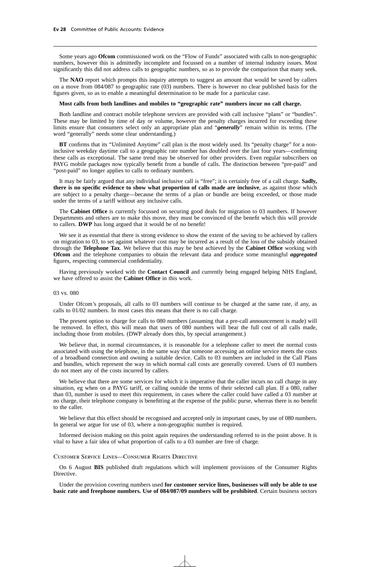Some years ago **Ofcom** commissioned work on the "Flow of Funds" associated with calls to non-geographic numbers, however this is admittedly incomplete and focussed on a number of internal industry issues. Most significantly this did not address calls to geographic numbers, so as to provide the comparison that many seek.

The **NAO** report which prompts this inquiry attempts to suggest an amount that would be saved by callers on a move from 084/087 to geographic rate (03) numbers. There is however no clear published basis for the figures given, so as to enable a meaningful determination to be made for a particular case.

#### **Most calls from both landlines and mobiles to "geographic rate" numbers incur no call charge.**

Both landline and contract mobile telephone services are provided with call inclusive "plans" or "bundles". These may be limited by time of day or volume, however the penalty charges incurred for exceeding these limits ensure that consumers select only an appropriate plan and "*generally*" remain within its terms. (The word "generally" needs some clear understanding.)

**BT** confirms that its "Unlimited Anytime" call plan is the most widely used. Its "penalty charge" for a noninclusive weekday daytime call to a geographic rate number has doubled over the last four years—confirming these calls as exceptional. The same trend may be observed for other providers. Even regular subscribers on PAYG mobile packages now typically benefit from a bundle of calls. The distinction between "pre-paid" and "post-paid" no longer applies to calls to ordinary numbers.

It may be fairly argued that any individual inclusive call is "free"; it is certainly free of a call charge. **Sadly, there is no specific evidence to show what proportion of calls made are inclusive**, as against those which are subject to a penalty charge—because the terms of a plan or bundle are being exceeded, or those made under the terms of a tariff without any inclusive calls.

The **Cabinet Office** is currently focussed on securing good deals for migration to 03 numbers. If however Departments and others are to make this move, they must be convinced of the benefit which this will provide to callers. **DWP** has long argued that it would be of no benefit!

We see it as essential that there is strong evidence to show the extent of the saving to be achieved by callers on migration to 03, to set against whatever cost may be incurred as a result of the loss of the subsidy obtained through the **Telephone Tax**. We believe that this may be best achieved by the **Cabinet Office** working with **Ofcom** and the telephone companies to obtain the relevant data and produce some meaningful *aggregated* figures, respecting commercial confidentiality.

Having previously worked with the **Contact Council** and currently being engaged helping NHS England, we have offered to assist the **Cabinet Office** in this work.

#### 03 vs. 080

Under Ofcom's proposals, all calls to 03 numbers will continue to be charged at the same rate, if any, as calls to 01/02 numbers. In most cases this means that there is no call charge.

The present option to charge for calls to 080 numbers (assuming that a pre-call announcement is made) will be removed. In effect, this will mean that users of 080 numbers will bear the full cost of all calls made, including those from mobiles. (DWP already does this, by special arrangement.)

We believe that, in normal circumstances, it is reasonable for a telephone caller to meet the normal costs associated with using the telephone, in the same way that someone accessing an online service meets the costs of a broadband connection and owning a suitable device. Calls to 03 numbers are included in the Call Plans and bundles, which represent the way in which normal call costs are generally covered. Users of 03 numbers do not meet any of the costs incurred by callers.

We believe that there are some services for which it is imperative that the caller incurs no call charge in any situation, eg when on a PAYG tariff, or calling outside the terms of their selected call plan. If a 080, rather than 03, number is used to meet this requirement, in cases where the caller could have called a 03 number at no charge, their telephone company is benefitting at the expense of the public purse, whereas there is no benefit to the caller.

We believe that this effect should be recognised and accepted only in important cases, by use of 080 numbers. In general we argue for use of 03, where a non-geographic number is required.

Informed decision making on this point again requires the understanding referred to in the point above. It is vital to have a fair idea of what proportion of calls to a 03 number are free of charge.

# Customer Service Lines—Consumer Rights Directive

On 6 August **BIS** published draft regulations which will implement provisions of the Consumer Rights Directive.

Under the provision covering numbers used **for customer service lines, businesses will only be able to use basic rate and freephone numbers. Use of 084/087/09 numbers will be prohibited**. Certain business sectors